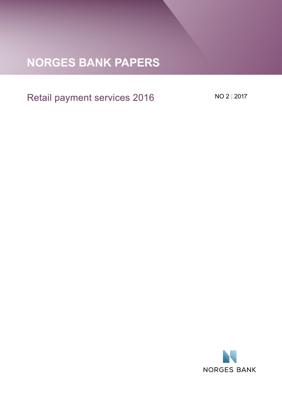# **Norges Bank Papers**

# Retail payment services 2016

No 2 | 2017

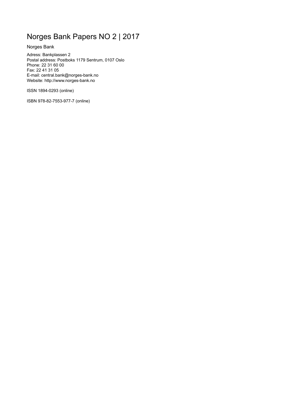# Norges Bank Papers NO 2 | 2017

Norges Bank

Adress: Bankplassen 2 Postal address: Postboks 1179 Sentrum, 0107 Oslo Phone: 22 31 60 00 Fax: 22 41 31 05 E-mail: central.bank@norges-bank.no Website: http://www.norges-bank.no

ISSN 1894-0293 (online)

ISBN 978-82-7553-977-7 (online)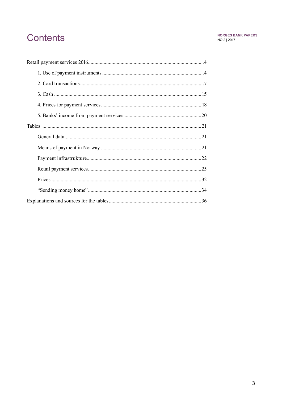# **Contents**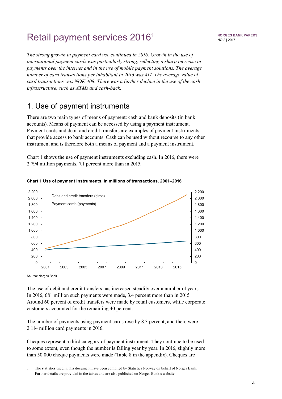# <span id="page-3-0"></span>Retail payment services 20161

*The strong growth in payment card use continued in 2016. Growth in the use of international payment cards was particularly strong, reflecting a sharp increase in payments over the internet and in the use of mobile payment solutions. The average number of card transactions per inhabitant in 2016 was 417. The average value of card transactions was NOK 408. There was a further decline in the use of the cash infrastructure, such as ATMs and cash-back.* 

### 1. Use of payment instruments

There are two main types of means of payment: cash and bank deposits (in bank accounts). Means of payment can be accessed by using a payment instrument. Payment cards and debit and credit transfers are examples of payment instruments that provide access to bank accounts. Cash can be used without recourse to any other instrument and is therefore both a means of payment and a payment instrument.

Chart 1 shows the use of payment instruments excluding cash. In 2016, there were 2 794 million payments, 7.1 percent more than in 2015.



#### **Chart 1 Use of payment instruments. In millions of transactions. 2001–2016**

Source: Norges Bank

The use of debit and credit transfers has increased steadily over a number of years. In 2016, 681 million such payments were made, 3.4 percent more than in 2015. Around 60 percent of credit transfers were made by retail customers, while corporate customers accounted for the remaining 40 percent.

The number of payments using payment cards rose by 8.3 percent, and there were 2 114 million card payments in 2016.

Cheques represent a third category of payment instrument. They continue to be used to some extent, even though the number is falling year by year. In 2016, slightly more than 50 000 cheque payments were made (Table 8 in the appendix). Cheques are

<sup>1</sup> The statistics used in this document have been compiled by Statistics Norway on behalf of Norges Bank. Further details are provided in the tables and are also published on Norges Bank's website.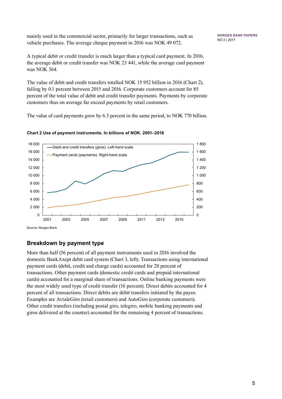mainly used in the commercial sector, primarily for larger transactions, such as vehicle purchases. The average cheque payment in 2016 was NOK 49 072.

A typical debit or credit transfer is much larger than a typical card payment. In 2016, the average debit or credit transfer was NOK 23 441, while the average card payment was NOK 364.

The value of debit and credit transfers totalled NOK 15 952 billion in 2016 (Chart 2), falling by 0.1 percent between 2015 and 2016. Corporate customers account for 85 percent of the total value of debit and credit transfer payments. Payments by corporate customers thus on average far exceed payments by retail customers.

The value of card payments grew by 6.3 percent in the same period, to NOK 770 billion.



**Chart 2 Use of payment instruments. In billions of NOK. 2001–2016**

**Breakdown by payment type**

More than half (56 percent) of all payment instruments used in 2016 involved the domestic BankAxept debit card system (Chart 3, left). Transactions using international payment cards (debit, credit and charge cards) accounted for 20 percent of transactions. Other payment cards (domestic credit cards and prepaid international cards) accounted for a marginal share of transactions. Online banking payments were the most widely used type of credit transfer (16 percent). Direct debits accounted for 4 percent of all transactions. Direct debits are debit transfers initiated by the payee. Examples are AvtaleGiro (retail customers) and AutoGiro (corporate customers). Other credit transfers (including postal giro, telegiro, mobile banking payments and giros delivered at the counter) accounted for the remaining 4 percent of transactions.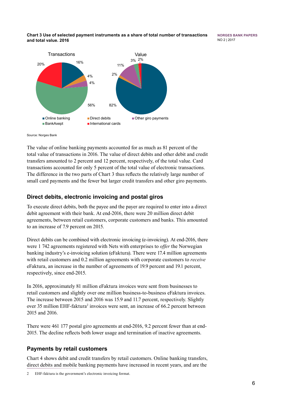#### **Chart 3 Use of selected payment instruments as a share of total number of transactions and total value. 2016**

**Norges Bank Papers** No 2 | 2017



#### Source: Norges Bank

The value of online banking payments accounted for as much as 81 percent of the total value of transactions in 2016. The value of direct debits and other debit and credit transfers amounted to 2 percent and 12 percent, respectively, of the total value. Card transactions accounted for only 5 percent of the total value of electronic transactions. The difference in the two parts of Chart 3 thus reflects the relatively large number of small card payments and the fewer but larger credit transfers and other giro payments.

### **Direct debits, electronic invoicing and postal giros**

To execute direct debits, both the payee and the payer are required to enter into a direct debit agreement with their bank. At end-2016, there were 20 million direct debit agreements, between retail customers, corporate customers and banks. This amounted to an increase of 7.9 percent on 2015.

Direct debits can be combined with electronic invoicing (e-invoicing). At end-2016, there were 1 742 agreements registered with Nets with enterprises to *offer* the Norwegian banking industry's e-invoicing solution (eFaktura). There were 17.4 million agreements with retail customers and 0.2 million agreements with corporate customers to *receive* eFaktura, an increase in the number of agreements of 19.9 percent and 19.1 percent, respectively, since end-2015.

In 2016, approximately 81 million eFaktura invoices were sent from businesses to retail customers and slightly over one million business-to-business eFaktura invoices. The increase between 2015 and 2016 was 15.9 and 11.7 percent, respectively. Slightly over 35 million EHF-faktura<sup>2</sup> invoices were sent, an increase of 66.2 percent between 2015 and 2016.

There were 461 177 postal giro agreements at end-2016, 9.2 percent fewer than at end-2015. The decline reflects both lower usage and termination of inactive agreements.

### **Payments by retail customers**

Chart 4 shows debit and credit transfers by retail customers. Online banking transfers, direct debits and mobile banking payments have increased in recent years, and are the

<sup>2</sup> EHF-faktura is the government's electronic invoicing format.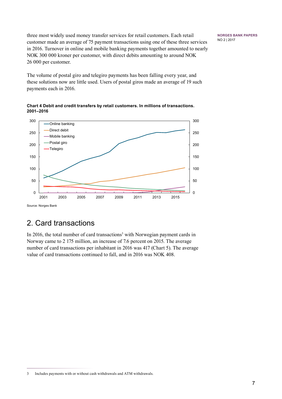**Norges Bank Papers** No 2 | 2017

<span id="page-6-0"></span>three most widely used money transfer services for retail customers. Each retail customer made an average of 75 payment transactions using one of these three services in 2016. Turnover in online and mobile banking payments together amounted to nearly NOK 300 000 kroner per customer, with direct debits amounting to around NOK 26 000 per customer.

The volume of postal giro and telegiro payments has been falling every year, and these solutions now are little used. Users of postal giros made an average of 19 such payments each in 2016.





Source: Norges Bank

## 2. Card transactions

In 2016, the total number of card transactions<sup>3</sup> with Norwegian payment cards in Norway came to 2 175 million, an increase of 7.6 percent on 2015. The average number of card transactions per inhabitant in 2016 was 417 (Chart 5). The average value of card transactions continued to fall, and in 2016 was NOK 408.

<sup>3</sup> Includes payments with or without cash withdrawals and ATM withdrawals.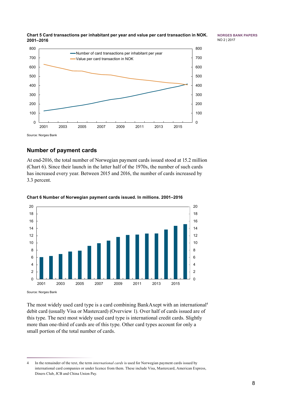

**Norges Bank Papers** No 2 | 2017



### **Number of payment cards**

At end-2016, the total number of Norwegian payment cards issued stood at 15.2 million (Chart 6). Since their launch in the latter half of the 1970s, the number of such cards has increased every year. Between 2015 and 2016, the number of cards increased by 3.3 percent.



#### **Chart 6 Number of Norwegian payment cards issued. In millions. 2001–2016**

Source: Norges Bank

The most widely used card type is a card combining BankAxept with an international4 debit card (usually Visa or Mastercard) (Overview 1). Over half of cards issued are of this type. The next most widely used card type is international credit cards. Slightly more than one-third of cards are of this type. Other card types account for only a small portion of the total number of cards.

 In the remainder of the text, the term *international cards* is used for Norwegian payment cards issued by international card companies or under licence from them. These include Visa, Mastercard, American Express, Diners Club, JCB and China Union Pay.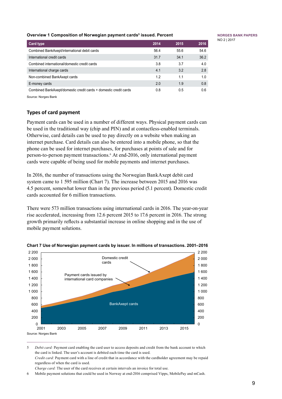#### **Overview 1 Composition of Norwegian payment cards5 issued. Percent**

**Card type 2014 2015 2016** Combined BankAxept/international debit cards 56.4 55.6 54.6 International credit cards 31.7 34.1 36.2 Combined international/domestic credit cards 3.8 3.7 4.0 International charge cards 4.1 3.2 2.8 Non-combined BankAxept cards 1.2 1.2 1.1 1.0 E-money cards 2.0 1.9 0.8 Combined BankAxept/domestic credit cards + domestic credit cards 0.8 0.5 0.6

Source: Norges Bank

#### **Types of card payment**

Payment cards can be used in a number of different ways. Physical payment cards can be used in the traditional way (chip and PIN) and at contactless-enabled terminals. Otherwise, card details can be used to pay directly on a website when making an internet purchase. Card details can also be entered into a mobile phone, so that the phone can be used for internet purchases, for purchases at points of sale and for person-to-person payment transactions.6 At end-2016, only international payment cards were capable of being used for mobile payments and internet purchases.

In 2016, the number of transactions using the Norwegian BankAxept debit card system came to 1 595 million (Chart 7). The increase between 2015 and 2016 was 4.5 percent, somewhat lower than in the previous period (5.1 percent). Domestic credit cards accounted for 6 million transactions.

There were 573 million transactions using international cards in 2016. The year-on-year rise accelerated, increasing from 12.6 percent 2015 to 17.6 percent in 2016. The strong growth primarily reflects a substantial increase in online shopping and in the use of mobile payment solutions.



#### **Chart 7 Use of Norwegian payment cards by issuer. In millions of transactions. 2001–2016**

9

<sup>5</sup> *Debit card:* Payment card enabling the card user to access deposits and credit from the bank account to which the card is linked. The user's account is debited each time the card is used. *Credit card:* Payment card with a line of credit that in accordance with the cardholder agreement may be repaid regardless of when the card is used.

*Charge card:* The user of the card receives at certain intervals an invoice for total use.

<sup>6</sup> Mobile payment solutions that could be used in Norway at end-2016 comprised Vipps, MobilePay and mCash.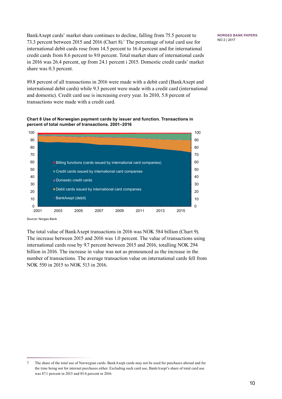BankAxept cards' market share continues to decline, falling from 75.5 percent to 73.3 percent between 2015 and 2016 (Chart 8).7 The percentage of total card use for international debit cards rose from 14.5 percent to 16.4 percent and for international credit cards from 8.6 percent to 9.0 percent. Total market share of international cards in 2016 was 26.4 percent, up from 24.1 percent i 2015. Domestic credit cards' market share was 0.3 percent.

89.8 percent of all transactions in 2016 were made with a debit card (BankAxept and international debit cards) while 9.3 percent were made with a credit card (international and domestic). Credit card use is increasing every year. In 2010, 5.8 percent of transactions were made with a credit card.





Source: Norges Bank

The total value of BankAxept transactions in 2016 was NOK 584 billion (Chart 9). The increase between 2015 and 2016 was 1.0 percent. The value of transactions using international cards rose by 9.7 percent between 2015 and 2016, totalling NOK 294 billion in 2016. The increase in value was not as pronounced as the increase in the number of transactions. The average transaction value on international cards fell from NOK 550 in 2015 to NOK 513 in 2016.

<sup>7</sup> The share of the total use of Norwegian cards. BankAxept cards may not be used for purchases abroad and for the time being not for internet purchases either. Excluding such card use, BankAxept's share of total card use was 87.1 percent in 2015 and 85.6 percent in 2016.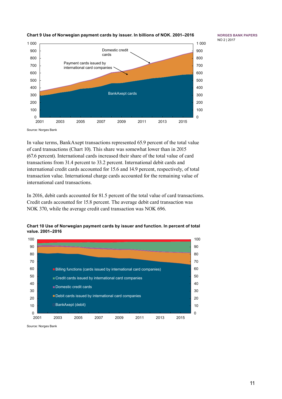

### **Chart 9 Use of Norwegian payment cards by issuer. In billions of NOK. 2001–2016**

**Norges Bank Papers** No 2 | 2017

Source: Norges Bank

In value terms, BankAxept transactions represented 65.9 percent of the total value of card transactions (Chart 10). This share was somewhat lower than in 2015 (67.6 percent). International cards increased their share of the total value of card transactions from 31.4 percent to 33.2 percent. International debit cards and international credit cards accounted for 15.6 and 14.9 percent, respectively, of total transaction value. International charge cards accounted for the remaining value of international card transactions.

In 2016, debit cards accounted for 81.5 percent of the total value of card transactions. Credit cards accounted for 15.8 percent. The average debit card transaction was NOK 370, while the average credit card transaction was NOK 696.



**Chart 10 Use of Norwegian payment cards by issuer and function. In percent of total value. 2001–2016** 

Source: Norges Bank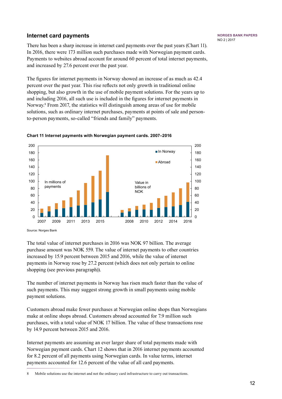### **Internet card payments**

There has been a sharp increase in internet card payments over the past years (Chart 11). In 2016, there were 173 million such purchases made with Norwegian payment cards. Payments to websites abroad account for around 60 percent of total internet payments, and increased by 27.6 percent over the past year.

The figures for internet payments in Norway showed an increase of as much as 42.4 percent over the past year. This rise reflects not only growth in traditional online shopping, but also growth in the use of mobile payment solutions. For the years up to and including 2016, all such use is included in the figures for internet payments in Norway.<sup>8</sup> From 2017, the statistics will distinguish among areas of use for mobile solutions, such as ordinary internet purchases, payments at points of sale and personto-person payments, so-called "friends and family" payments.



#### **Chart 11 Internet payments with Norwegian payment cards. 2007–2016**

Source: Norges Bank

The total value of internet purchases in 2016 was NOK 97 billion. The average purchase amount was NOK 559. The value of internet payments to other countries increased by 15.9 percent between 2015 and 2016, while the value of internet payments in Norway rose by 27.2 percent (which does not only pertain to online shopping (see previous paragraph)).

The number of internet payments in Norway has risen much faster than the value of such payments. This may suggest strong growth in small payments using mobile payment solutions.

Customers abroad make fewer purchases at Norwegian online shops than Norwegians make at online shops abroad. Customers abroad accounted for 7.9 million such purchases, with a total value of NOK 17 billion. The value of these transactions rose by 14.9 percent between 2015 and 2016.

Internet payments are assuming an ever larger share of total payments made with Norwegian payment cards. Chart 12 shows that in 2016 internet payments accounted for 8.2 percent of all payments using Norwegian cards. In value terms, internet payments accounted for 12.6 percent of the value of all card payments.

<sup>8</sup> Mobile solutions use the internet and not the ordinary card infrastructure to carry out transactions.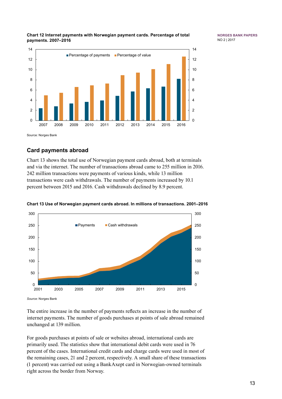#### **Chart 12 Internet payments with Norwegian payment cards. Percentage of total payments. 2007–2016**



Source: Norges Bank

### **Card payments abroad**

Chart 13 shows the total use of Norwegian payment cards abroad, both at terminals and via the internet. The number of transactions abroad came to 255 million in 2016. 242 million transactions were payments of various kinds, while 13 million transactions were cash withdrawals. The number of payments increased by 10.1 percent between 2015 and 2016. Cash withdrawals declined by 8.9 percent.



#### **Chart 13 Use of Norwegian payment cards abroad. In millions of transactions. 2001–2016**

*Source*: Norges Bank

The entire increase in the number of payments reflects an increase in the number of internet payments. The number of goods purchases at points of sale abroad remained unchanged at 139 million.

For goods purchases at points of sale or websites abroad, international cards are primarily used. The statistics show that international debit cards were used in 76 percent of the cases. International credit cards and charge cards were used in most of the remaining cases, 21 and 2 percent, respectively. A small share of these transactions (1 percent) was carried out using a BankAxept card in Norwegian-owned terminals right across the border from Norway.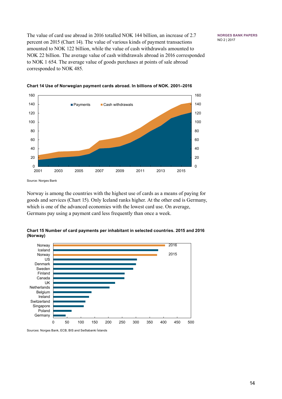The value of card use abroad in 2016 totalled NOK 144 billion, an increase of 2.7 percent on 2015 (Chart 14). The value of various kinds of payment transactions amounted to NOK 122 billion, while the value of cash withdrawals amounted to NOK 22 billion. The average value of cash withdrawals abroad in 2016 corresponded to NOK 1 654. The average value of goods purchases at points of sale abroad corresponded to NOK 485.

**Norges Bank Papers** No 2 | 2017





Source: Norges Bank

Norway is among the countries with the highest use of cards as a means of paying for goods and services (Chart 15). Only Iceland ranks higher. At the other end is Germany, which is one of the advanced economies with the lowest card use. On average, Germans pay using a payment card less frequently than once a week.





Sources: Norges Bank, ECB, BIS and Seðlabanki Íslands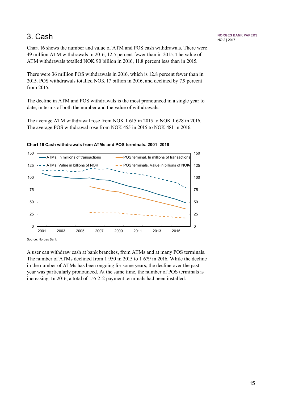## <span id="page-14-0"></span>3. Cash

Chart 16 shows the number and value of ATM and POS cash withdrawals. There were 49 million ATM withdrawals in 2016, 12.5 percent fewer than in 2015. The value of ATM withdrawals totalled NOK 90 billion in 2016, 11.8 percent less than in 2015.

There were 36 million POS withdrawals in 2016, which is 12.8 percent fewer than in 2015. POS withdrawals totalled NOK 17 billion in 2016, and declined by 7.9 percent from 2015.

The decline in ATM and POS withdrawals is the most pronounced in a single year to date, in terms of both the number and the value of withdrawals.

The average ATM withdrawal rose from NOK 1 615 in 2015 to NOK 1 628 in 2016. The average POS withdrawal rose from NOK 455 in 2015 to NOK 481 in 2016.



#### **Chart 16 Cash withdrawals from ATMs and POS terminals. 2001–2016**

Source: Norges Bank

A user can withdraw cash at bank branches, from ATMs and at many POS terminals. The number of ATMs declined from 1 950 in 2015 to 1 679 in 2016. While the decline in the number of ATMs has been ongoing for some years, the decline over the past year was particularly pronounced. At the same time, the number of POS terminals is increasing. In 2016, a total of 155 212 payment terminals had been installed.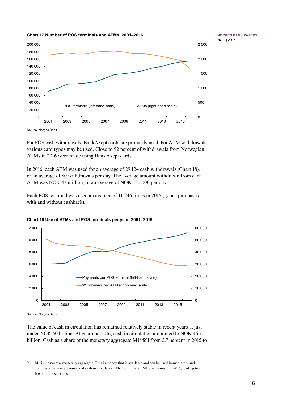

**Norges Bank Papers** No 2 | 2017

Source: Norges Bank

For POS cash withdrawals, BankAxept cards are primarily used. For ATM withdrawals, various card types may be used. Close to 92 percent of withdrawals from Norwegian ATMs in 2016 were made using BankAxept cards.

In 2016, each ATM was used for an average of 29 124 cash withdrawals (Chart 18), or an average of 80 withdrawals per day. The average amount withdrawn from each ATM was NOK 47 million, or an average of NOK 130 000 per day.

Each POS terminal was used an average of 11 246 times in 2016 (goods purchases with and without cashback).



**Chart 18 Use of ATMs and POS terminals per year. 2001–2016**

**Chart 17 Number of POS terminals and ATMs. 2001–2016**

Source: Norges Bank

The value of cash in circulation has remained relatively stable in recent years at just under NOK 50 billion. At year-end 2016, cash in circulation amounted to NOK 46.7 billion. Cash as a share of the monetary aggregate M1<sup>9</sup> fell from 2.7 percent in 2015 to

<sup>9</sup> M1 is the narrow monetary aggregate. This is money that is available and can be used immediately and comprises current accounts and cash in circulation. The definition of M1 was changed in 2015, leading to a break in the statistics.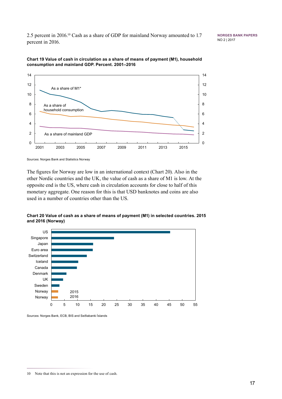2.5 percent in 2016.10 Cash as a share of GDP for mainland Norway amounted to 1.7 percent in 2016.

**Norges Bank Papers** No 2 | 2017





Sources: Norges Bank and Statistics Norway

The figures for Norway are low in an international context (Chart 20). Also in the other Nordic countries and the UK, the value of cash as a share of M1 is low. At the opposite end is the US, where cash in circulation accounts for close to half of this monetary aggregate. One reason for this is that USD banknotes and coins are also used in a number of countries other than the US.

**Chart 20 Value of cash as a share of means of payment (M1) in selected countries. 2015 and 2016 (Norway)** 



Sources: Norges Bank, ECB, BIS and Seðlabanki Íslands

<sup>10</sup> Note that this is not an expression for the use of cash.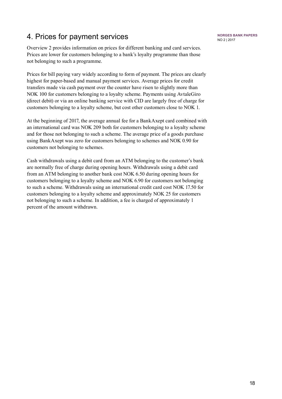## <span id="page-17-0"></span>4. Prices for payment services

Overview 2 provides information on prices for different banking and card services. Prices are lower for customers belonging to a bank's loyalty programme than those not belonging to such a programme.

Prices for bill paying vary widely according to form of payment. The prices are clearly highest for paper-based and manual payment services. Average prices for credit transfers made via cash payment over the counter have risen to slightly more than NOK 100 for customers belonging to a loyalty scheme. Payments using AvtaleGiro (direct debit) or via an online banking service with CID are largely free of charge for customers belonging to a loyalty scheme, but cost other customers close to NOK 1.

At the beginning of 2017, the average annual fee for a BankAxept card combined with an international card was NOK 209 both for customers belonging to a loyalty scheme and for those not belonging to such a scheme. The average price of a goods purchase using BankAxept was zero for customers belonging to schemes and NOK 0.90 for customers not belonging to schemes.

Cash withdrawals using a debit card from an ATM belonging to the customer's bank are normally free of charge during opening hours. Withdrawals using a debit card from an ATM belonging to another bank cost NOK 6.50 during opening hours for customers belonging to a loyalty scheme and NOK 6.90 for customers not belonging to such a scheme. Withdrawals using an international credit card cost NOK 17.50 for customers belonging to a loyalty scheme and approximately NOK 25 for customers not belonging to such a scheme. In addition, a fee is charged of approximately 1 percent of the amount withdrawn.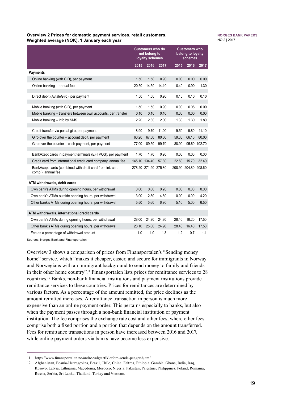#### **Overview 2 Prices for domestic payment services, retail customers. Weighted average (NOK). 1 January each year**

#### **Norges Bank Papers** No 2 | 2017

|                                                                                |       | <b>Customers who do</b><br>not belong to<br>loyalty schemes |       |       | <b>Customers who</b><br>belong to loyalty<br>schemes |              |
|--------------------------------------------------------------------------------|-------|-------------------------------------------------------------|-------|-------|------------------------------------------------------|--------------|
|                                                                                | 2015  | 2016                                                        | 2017  | 2015  | 2016                                                 | 2017         |
| <b>Payments</b>                                                                |       |                                                             |       |       |                                                      |              |
| Online banking (with CID), per payment                                         | 1.50  | 1.50                                                        | 0.90  | 0.00  | 0.00                                                 | 0.00         |
| Online banking - annual fee                                                    | 20.50 | 14.50                                                       | 14.10 | 0.40  | 0.90                                                 | 1.30         |
| Direct debit (AvtaleGiro), per payment                                         | 1.50  | 1.50                                                        | 0.90  | 0.10  | 0.10                                                 | 0.10         |
| Mobile banking (with CID), per payment                                         | 1.50  | 1.50                                                        | 0.90  | 0.00  | 0.06                                                 | 0.00         |
| Mobile banking – transfers between own accounts, per transfer                  | 0.10  | 0.10                                                        | 0.10  | 0.00  | 0.00                                                 | 0.00         |
| Mobile banking - info by SMS                                                   | 2.20  | 2.30                                                        | 2.00  | 1.30  | 1.30                                                 | 1.80         |
| Credit transfer via postal giro, per payment                                   | 8.90  | 9.70                                                        | 11.00 | 9.50  | 9.80                                                 | 11.10        |
| Giro over the counter – account debit, per payment                             | 60.20 | 67.50                                                       | 80.60 | 59.30 | 66.10                                                | 80.00        |
| Giro over the counter – cash payment, per payment                              | 77.00 | 89.50                                                       | 99.70 | 88.90 |                                                      | 95.60 102.70 |
| BankAxept cards in payment terminals (EFTPOS), per payment                     | 1.70  | 1.70                                                        | 0.90  | 0.00  | 0.00                                                 | 0.00         |
| Credit card from international credit card company, annual fee                 |       | 145.10 134.40                                               | 57.80 | 22.60 | 15.70                                                | 32.40        |
| BankAxept cards (combined with debit card from int. card<br>comp.), annual fee |       | 278.20 271.90 275.80                                        |       |       | 208.90 204.80 208.60                                 |              |
| ATM withdrawals, debit cards                                                   |       |                                                             |       |       |                                                      |              |
| Own bank's ATMs during opening hours, per withdrawal                           | 0.00  | 0.00                                                        | 0.20  | 0.00  | 0.00                                                 | 0.00         |
| Own bank's ATMs outside opening hours, per withdrawal                          | 3.00  | 2.80                                                        | 4.80  | 0.00  | 0.00                                                 | 4.20         |
| Other bank's ATMs during opening hours, per withdrawal                         | 5.50  | 5.60                                                        | 6.90  | 5.10  | 5.00                                                 | 6.50         |
| ATM withdrawals, international credit cards                                    |       |                                                             |       |       |                                                      |              |
| Own bank's ATMs during opening hours, per withdrawal                           | 28.00 | 24.90                                                       | 24.80 | 28.40 | 16.20                                                | 17.50        |
| Other bank's ATMs during opening hours, per withdrawal                         | 28.10 | 25.00                                                       | 24.90 | 28.40 | 16.40                                                | 17.50        |
| Fee as a percentage of withdrawal amount                                       | 1.0   | 1.0                                                         | 1.3   | 1.2   | 0.7                                                  | 1.1          |

Sources: Norges Bank and Finansportalen

Overview 3 shows a comparison of prices from Finansportalen's "Sending money home" service, which "makes it cheaper, easier, and secure for immigrants in Norway and Norwegians with an immigrant background to send money to family and friends in their other home country".11 Finansportalen lists prices for remittance services to 28 countries.12 Banks, non-bank financial institutions and payment institutions provide remittance services to these countries. Prices for remittances are determined by various factors. As a percentage of the amount remitted, the price declines as the amount remitted increases. A remittance transaction in person is much more expensive than an online payment order. This pertains especially to banks, but also when the payment passes through a non-bank financial institution or payment institution. The fee comprises the exchange rate cost and other fees, where other fees comprise both a fixed portion and a portion that depends on the amount transferred. Fees for remittance transactions in person have increased between 2016 and 2017, while online payment orders via banks have become less expensive.

<sup>11</sup> https://www.finansportalen.no/andre-valg/artikler/om-sende-penger-hjem/

<sup>12</sup> Afghanistan, Bosnia-Herzegovina, Brazil, Chile, China, Eritrea, Ethiopia, Gambia, Ghana, India, Iraq, Kosovo, Latvia, Lithuania, Macedonia, Morocco, Nigeria, Pakistan, Palestine, Philippines, Poland, Romania, Russia, Serbia, Sri Lanka, Thailand, Turkey and Vietnam.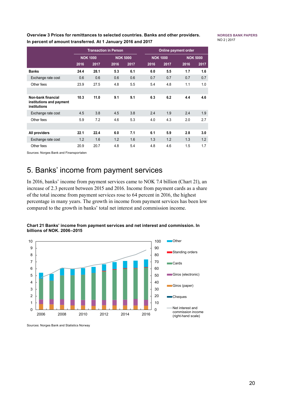<span id="page-19-0"></span>**Overview 3 Prices for remittances to selected countries. Banks and other providers. In percent of amount transferred. At 1 January 2016 and 2017**

**Norges Bank Papers** No 2 | 2017

|                                                                |      | <b>Transaction in Person</b> |      |                 |                 |      | Online payment order |                 |  |
|----------------------------------------------------------------|------|------------------------------|------|-----------------|-----------------|------|----------------------|-----------------|--|
|                                                                |      | <b>NOK 1000</b>              |      | <b>NOK 5000</b> | <b>NOK 1000</b> |      |                      | <b>NOK 5000</b> |  |
|                                                                | 2016 | 2017                         | 2016 | 2017            | 2016            | 2017 | 2016                 | 2017            |  |
| <b>Banks</b>                                                   | 24.4 | 28.1                         | 5.3  | 6.1             | 6.0             | 5.5  | 1.7                  | 1.6             |  |
| Exchange rate cost                                             | 0.6  | 0.6                          | 0.6  | 0.6             | 0.7             | 0.7  | 0.7                  | 0.7             |  |
| Other fees                                                     | 23.9 | 27.5                         | 4.8  | 5.5             | 5.4             | 4.8  | 1.1                  | 1.0             |  |
|                                                                |      |                              |      |                 |                 |      |                      |                 |  |
| Non-bank financial<br>institutions and payment<br>institutions | 10.3 | 11.0                         | 9.1  | 9.1             | 6.3             | 6.2  | 4.4                  | 4.6             |  |
| Exchange rate cost                                             | 4.5  | 3.8                          | 4.5  | 3.8             | 2.4             | 1.9  | 2.4                  | 1.9             |  |
| Other fees                                                     | 5.9  | 7.2                          | 4.6  | 5.3             | 4.0             | 4.3  | 2.0                  | 2.7             |  |
|                                                                |      |                              |      |                 |                 |      |                      |                 |  |
| All providers                                                  | 22.1 | 22.4                         | 6.0  | 7.1             | 6.1             | 5.9  | 2.8                  | 3.0             |  |
| Exchange rate cost                                             | 1.2  | 1.6                          | 1.2  | 1.6             | 1.3             | 1.2  | 1.3                  | 1.2             |  |
| Other fees                                                     | 20.9 | 20.7                         | 4.8  | 5.4             | 4.8             | 4.6  | 1.5                  | 1.7             |  |

Sources: Norges Bank and Finansportalen

## 5. Banks' income from payment services

In 2016, banks' income from payment services came to NOK 7.4 billion (Chart 21), an increase of 2.3 percent between 2015 and 2016. Income from payment cards as a share of the total income from payment services rose to 64 percent in 2016, the highest percentage in many years. The growth in income from payment services has been low compared to the growth in banks' total net interest and commission income.



**Chart 21 Banks' income from payment services and net interest and commission. In billions of NOK. 2006–2015** 

Sources: Norges Bank and Statistics Norway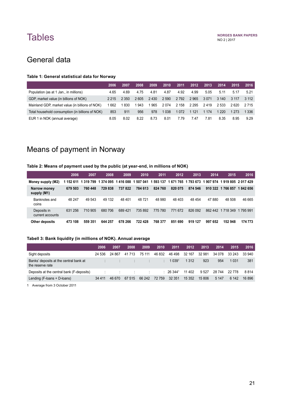# <span id="page-20-0"></span>**Tables**

## General data

#### **Table 1: General statistical data for Norway**

|                                                  | 2006    | 2007  | 2008 | 2009 | 2010    | 2011    | 2012    | 2013    | 2014    | 2015    | 2016    |
|--------------------------------------------------|---------|-------|------|------|---------|---------|---------|---------|---------|---------|---------|
| Population (as at 1 Jan., in millions)           | 4.65    | 4.69  | 4.75 | 4.81 | 4.87    | 4.92    | 4.99    | 5.05    | 5.11    | 5.17    | 521     |
| GDP, market value (in billions of NOK)           | 2 2 1 5 | 2 350 | 2605 | 2430 | 2 5 9 0 | 2 7 9 2 | 2965    | 3071    | 3 140   | 3 1 1 7 | 3.112   |
| Mainland GDP, market value (in billions of NOK)  | 662     | 830   | 943  | 965  | 2074    | 2 158   | 2 2 9 5 | 2419    | 2.533   | 2.620   | 2 7 1 5 |
| Total household consumption (in billions of NOK) | 853     | 911   | 956  | 978  | 038     | 1072    | 1 1 2 1 | 1 1 7 4 | 1 2 2 0 | 1 2 7 3 | 1 336   |
| EUR 1 in NOK (annual average)                    | 8.05    | 8.02  | 8.22 | 8.73 | 8.01    | 7.79    | 7.47    | 7.81    | 8.35    | 8.95    | 9.29    |

# Means of payment in Norway

#### **Table 2: Means of payment used by the public (at year-end, in millions of NOK)**

|                                 | 2006    | 2007                                    | 2008    | 2009    | 2010      | 2011      | 2012                                              | 2013    | 2014    | 2015                | 2016    |
|---------------------------------|---------|-----------------------------------------|---------|---------|-----------|-----------|---------------------------------------------------|---------|---------|---------------------|---------|
| Money supply (M2)               |         | 1 152 611 1 319 799 1 374 095 1 416 088 |         |         | 1 507 041 | 1 593 137 | 1 671 765 1 793 673 1 907 974 1 919 805 2 017 429 |         |         |                     |         |
| Narrow money<br>supply (M1)     | 679 503 | 760 448                                 | 729 838 | 737822  | 784 613   | 824 760   | 820 075                                           | 874 546 |         | 910 322 1 766 857   | 1842656 |
| Banknotes and<br>coins          | 48 247  | 49 543                                  | 49 132  | 48 401  | 48721     | 48 980    | 48 403                                            | 48 454  | 47880   | 48 508              | 46 665  |
| Deposits in<br>current accounts | 631 256 | 710 905                                 | 680 706 | 689 421 | 735 892   | 775 780   | 771 672                                           | 826 092 | 862 442 | 1 718 349 1 795 991 |         |
| Other deposits                  | 473 108 | 559 351                                 | 644 257 | 678 266 | 722 428   | 768 377   | 851 690                                           | 919 127 | 997 652 | 152 948             | 174 773 |

#### **Tabell 3: Bank liquidity (in millions of NOK). Annual average**

|                                                            | 2006    | 2007   | 2008                          | 2009   | 2010              | 2011                            | 2012     | 2013   | 2014    | 2015     | 2016   |
|------------------------------------------------------------|---------|--------|-------------------------------|--------|-------------------|---------------------------------|----------|--------|---------|----------|--------|
| Sight deposits                                             | 24 536  | 24 867 | 41 713                        | 75 111 | 46 832            | 46 498                          | 32 167   | 32 981 | 34 078  | 33 243   | 33 940 |
| Banks' deposits at the central bank at<br>the reserve rate |         |        | and the second control of the |        |                   | $\therefore$ 1 039 <sup>1</sup> | 1 3 1 2  | 923    | 954     | 1 0 3 1  | 381    |
| Deposits at the central bank (F-deposits)                  |         |        |                               |        | <b>CONTRACTOR</b> | : 263441                        | 11 402   | 9527   | 28 744  | 22 7 7 8 | 8814   |
| Lending (F-Ioans + D-Ioans)                                | 34 4 11 | 46 670 | 67 515                        | 66 242 | 72 759            | 32 351                          | 15 3 5 2 | 15 806 | 5 1 4 7 | 6 142    | 16 896 |

1 Average from 3 October 2011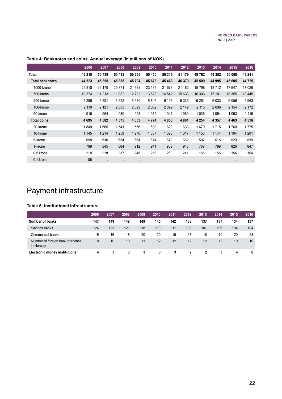|                        | 2006    | 2007              | 2008    | 2009         | 2010                 | 2011    | 2012    | 2013    | 2014    | 2015                 | 2016    |
|------------------------|---------|-------------------|---------|--------------|----------------------|---------|---------|---------|---------|----------------------|---------|
| Total                  | 49 218  | 50 439            | 50 413  | 50 356       | 50 450               | 50 315  | 51 179  | 49762   | 49 352  | 50 068               | 49 241  |
| <b>Total banknotes</b> | 44 523  | 45 858            | 45838   | 45704        | 45 676               | 45 4 63 | 46 379  | 45 509  | 44 995  | 45 605               | 44 725  |
| 1000-krone             | 25818   | 26 179            | 25 371  | 24 3 82      | 23 134               | 21 678  | 21 180  | 19798   | 18712   | 17947                | 17 0 29 |
| 500-krone              | 10 374  | 11 213            | 11 882  | 12722        | 13 623               | 14 542  | 15 633  | 16 30 6 | 17 101  | 18 355               | 18 4 45 |
| 200-krone              | 5 2 9 6 | 5 3 8 1           | 5 5 2 2 | 5580         | 5846                 | 6 1 0 3 | 6 3 3 5 | 6 2 5 1 | 6033    | 6056                 | 5963    |
| 100-krone              | 2 1 1 9 | 2 1 2 1           | 2 0 8 3 | 2 0 2 9      | 2 0 6 2              | 2 0 9 9 | 2 1 4 9 | 2 1 1 8 | 2096    | 2 1 5 4              | 2 1 7 2 |
| 50-krone               | 916     | 964               | 980     | 993          | 1012                 | 1 0 4 1 | 1 0 8 0 | 1036    | 1 0 5 4 | 1 0 9 3              | 1 1 1 6 |
| <b>Total coins</b>     | 4695    | 4 5 8 2           | 4575    | 4653         | 4 7 7 4              | 4853    | 4 8 0 1 | 4 2 5 4 | 4 3 5 7 | 4 4 6 3              | 4516    |
| 20-krone               | 1849    | 1665              | 1541    | 1556         | 1599                 | 1629    | 1638    | 1679    | 1715    | 1760                 | 1775    |
| 10-krone               | 1 1 4 5 | 1 2 1 4           | 1 2 5 9 | 1 2 7 6      | 1 3 0 7              | 1 3 2 3 | 1 3 1 7 | 1 1 5 0 | 1 1 7 4 | 1 1 9 4              | 1 2 0 1 |
| 5-krone                | 598     | 630               | 654     | 664          | 674                  | 679     | 662     | 502     | 515     | 529                  | 539     |
| 1-krone                | 799     | 845               | 884     | 912          | 941                  | 962     | 943     | 767     | 799     | 826                  | 847     |
| 0.5 krone              | 218     | 228               | 237     | 245          | 253                  | 260     | 241     | 156     | 155     | 154                  | 154     |
| 0.1 krone              | 86      | ٠<br>$\mathbf{r}$ |         | $\mathbf{r}$ | $\ddot{\phantom{0}}$ | ٠.      |         | $\cdot$ |         | $\ddot{\phantom{1}}$ | ÷       |

### <span id="page-21-0"></span>**Table 4: Banknotes and coins. Annual average (in millions of NOK)**

# Payment infrastructure

### **Table 5: Institutional infrastructure**

|                                              | 2006 | 2007 | 2008 | 2009 | 2010 | 2011 | 2012           | 2013 | 2014 | 2015 | 2016 |
|----------------------------------------------|------|------|------|------|------|------|----------------|------|------|------|------|
| <b>Number of banks</b>                       | 147  | 149  | 149  | 149  | 145  | 142  | 138            | 137  | 137  | 134  | 137  |
| Savings banks                                | 124  | 123  | 121  | 118  | 113  | 111  | 109            | 107  | 106  | 104  | 104  |
| Commercial banks                             | 15   | 16   | 18   | 20   | 20   | 19   | 17             | 18   | 19   | 20   | 23   |
| Number of foreign bank branches<br>in Norway | 8    | 10   | 10   | 11   | 12   | 12   | 12             | 12   | 12   | 10   | 10   |
| <b>Electronic money institutions</b>         | 4    | 3    | 3    | 3    | 3    | 3    | $\overline{2}$ |      | 3    | 4    | -6   |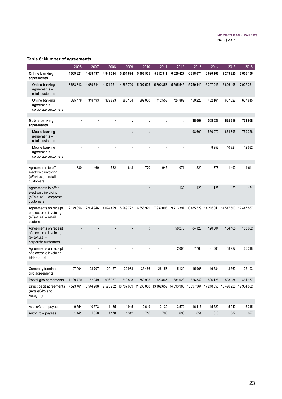### **Table 6: Number of agreements**

|                                                                                         | 2006      | 2007      | 2008          | 2009          | 2010      | 2011      | 2012                                                                                              | 2013      | 2014                                                  | 2015      | 2016      |
|-----------------------------------------------------------------------------------------|-----------|-----------|---------------|---------------|-----------|-----------|---------------------------------------------------------------------------------------------------|-----------|-------------------------------------------------------|-----------|-----------|
| Online banking<br>agreements                                                            | 4 009 321 | 4 438 137 | 4 841 244     | 5 2 5 1 8 7 4 | 5496535   | 5712911   | 6 0 20 4 27                                                                                       | 6 218 674 | 6 690 106                                             | 7 213 825 | 7655106   |
| Online banking<br>agreements $-$<br>retail customers                                    | 3683843   | 4 089 644 | 4 4 7 1 3 5 1 | 4 8 6 5 7 2 0 | 5 097 505 | 5 300 353 | 5 5 9 5 5 4 5                                                                                     | 5759449   | 6 207 945                                             | 6 606 198 | 7 027 261 |
| Online banking<br>agreements-<br>corporate customers                                    | 325478    | 348 493   | 369 893       | 386 154       | 399 030   | 412 558   | 424 882                                                                                           | 459 225   | 482 161                                               | 607 627   | 627845    |
|                                                                                         |           |           |               |               |           |           | t                                                                                                 | 98 609    | 569028                                                | 675 619   | 771958    |
| <b>Mobile banking</b><br>agreements                                                     |           |           |               |               |           |           |                                                                                                   |           |                                                       |           |           |
| Mobile banking<br>agreements $-$<br>retail customers                                    |           |           |               |               |           |           | t                                                                                                 | 98 609    | 560 070                                               | 664 895   | 759 326   |
| Mobile banking<br>agreements-<br>corporate customers                                    |           |           |               |               |           |           |                                                                                                   |           | 8958                                                  | 10724     | 12 632    |
|                                                                                         |           |           |               |               |           |           |                                                                                                   |           |                                                       |           |           |
| Agreements to offer<br>electronic invoicing<br>(eFaktura) - retail<br>customers         | 330       | 460       | 532           | 648           | 770       | 945       | 1071                                                                                              | 1 2 2 0   | 1378                                                  | 1490      | 1611      |
| Agreements to offer<br>electronic invoicing<br>(eFaktura) - corporate<br>customers      |           |           |               |               |           |           | 132                                                                                               | 123       | 125                                                   | 129       | 131       |
| Agreements on receipt<br>of electronic invoicing<br>(eFaktura) – retail<br>customers    | 2 149 356 | 2914946   | 4 0 74 4 29   | 5 249 722     | 6 358 929 | 7932093   |                                                                                                   |           | 9 713 391 10 485 529 14 206 011 14 547 500 17 447 887 |           |           |
| Agreements on receipt<br>of electronic invoicing<br>(eFaktura) –<br>corporate customers |           |           |               |               |           |           | 58 278                                                                                            | 84 126    | 120 004                                               | 154 165   | 183 602   |
| Agreements on receipt<br>of electronic invoicing -<br>EHF-format                        |           |           |               |               |           |           | 2005                                                                                              | 7760      | 31 064                                                | 48 927    | 65218     |
|                                                                                         |           |           |               | 32 983        |           |           |                                                                                                   |           |                                                       |           |           |
| Company terminal<br>giro agreements                                                     | 27 904    | 28707     | 29 127        |               | 33 4 66   | 26 153    | 15 129                                                                                            | 15 963    | 16 534                                                | 18 3 62   | 22 193    |
| Postal giro agreements                                                                  | 1 189 770 | 1 152 349 | 906 957       | 810818        | 759 995   | 723 867   | 681023                                                                                            | 626 342   | 596 126                                               | 508 134   | 461 177   |
| Direct debit agreements<br>(AvtaleGiro and<br>Autogiro)                                 | 7 523 461 | 8 544 208 |               |               |           |           | 9 523 732 10 707 639 11 933 080 13 162 659 14 393 988 15 597 964 17 218 355 18 496 228 19 964 802 |           |                                                       |           |           |
|                                                                                         |           |           |               |               |           |           |                                                                                                   |           |                                                       |           |           |
| AvtaleGiro - payees                                                                     | 9554      | 10 373    | 11 135        | 11 945        | 12619     | 13 130    | 13572                                                                                             | 16417     | 15 5 20                                               | 15 940    | 16 215    |
| Autogiro - payees                                                                       | 1441      | 1 3 5 0   | 1 1 7 0       | 1 3 4 2       | 716       | 708       | 690                                                                                               | 654       | 618                                                   | 587       | 627       |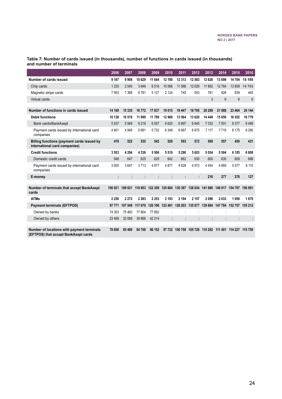|                                                                                    | 2006    | 2007            | 2008    | 2009    | 2010    | 2011                                                                    | 2012    | 2013     | 2014    | 2015            | 2016           |
|------------------------------------------------------------------------------------|---------|-----------------|---------|---------|---------|-------------------------------------------------------------------------|---------|----------|---------|-----------------|----------------|
| Number of cards issued                                                             | 9 187   | 9908            | 10 629  | 11 644  | 12 190  | 12 313                                                                  | 12 583  | 12 6 26  | 13 698  | 14704           | 15 195         |
| Chip cards                                                                         | 1 2 3 5 | 2 5 4 0         | 3848    | 6516    | 10 066  | 11 568                                                                  | 12 0 29 | 11 862   | 12764   | 13859           | 14 743         |
| Magnetic stripe cards                                                              | 7953    | 7 3 6 8         | 6781    | 5 1 2 7 | 2 1 2 4 | 745                                                                     | 553     | 761      | 928     | 839             | 445            |
| Virtual cards                                                                      |         |                 |         |         |         |                                                                         |         | 3        | 6       | 6               | $6\phantom{1}$ |
|                                                                                    |         |                 |         |         |         |                                                                         |         |          |         |                 |                |
| Number of functions in cards issued                                                | 14 169  | 15 3 35         | 16772   | 17837   | 19 015  | 19 447                                                                  | 19795   | 20 289   | 21 988  | 23 4 64         | 24 144         |
| <b>Debit functions</b>                                                             | 10 138  | 10519           | 11899   | 11 789  | 12 968  | 13 564                                                                  | 13 620  | 14 4 4 9 | 15 650  | 16 552          | 16779          |
| Bank cards/BankAxept                                                               | 5 5 3 7 | 5 5 6 9         | 6218    | 6057    | 6 6 20  | 6897                                                                    | 6945    | 7 3 3 2  | 7931    | 8 3 7 7         | 8489           |
| Payment cards issued by international card<br>companies                            | 4 6 0 1 | 4 9 4 9         | 5681    | 5732    | 6 3 4 9 | 6667                                                                    | 6675    | 7 1 1 7  | 7719    | 8 1 7 5         | 8 2 9 0        |
| Billing functions (payment cards issued by<br>international card companies)        | 478     | 522             | 535     | 542     | 528     | 593                                                                     | 572     | 569      | 557     | 450             | 431            |
| <b>Credit functions</b>                                                            | 3553    | 4 2 9 4         | 4 3 3 8 | 5506    | 5519    | 5 2 9 0                                                                 | 5603    | 5 0 5 4  | 5 5 0 4 | 6 185           | 6808           |
| Domestic credit cards                                                              | 548     | 647             | 625     | 629     | 642     | 662                                                                     | 630     | 600      | 635     | 609             | 698            |
| Payment cards issued by international card<br>companies                            | 3 0 0 5 | 3647            | 3713    | 4877    | 4877    | 4628                                                                    | 4 9 7 3 | 4 4 5 4  | 4869    | 5577            | 6 110          |
| E-money                                                                            | ÷       | t               | ÷       | ÷       | t       | ÷                                                                       | ÷       | 218      | 277     | 278             | 127            |
|                                                                                    |         |                 |         |         |         |                                                                         |         |          |         |                 |                |
| Number of terminals that accept BankAxept<br>cards                                 |         | 100 021 109 821 |         |         |         | 119 953 122 359 125 684 130 397 138 034 141 980 149 817 154 707 156 891 |         |          |         |                 |                |
| <b>ATMs</b>                                                                        | 2 2 5 0 | 2 2 7 2         | 2 2 8 3 | 2 2 5 3 | 2 1 9 3 | 2 1 9 4                                                                 | 2 1 5 7 | 2096     | 2033    | 1950            | 1679           |
| <b>Payment terminals (EFTPOS)</b>                                                  | 97 771  | 107 549         | 117 670 |         |         | 120 106 123 491 128 203 135 877 139 884 147 784                         |         |          |         | 152 757 155 212 |                |
| Owned by banks                                                                     | 74 303  | 75 460          | 77804   | 77892   |         |                                                                         |         |          |         |                 |                |
| Owned by others                                                                    | 23 4 68 | 32 089          | 39 866  | 42 214  |         | ÷                                                                       | t       |          |         |                 |                |
| Number of locations with payment terminals<br>(EFTPOS) that accept BankAxept cards | 78 656  | 85 490          | 94 708  | 96 152  | 97 722  | 100 758                                                                 | 105 726 | 110 282  | 111 401 | 114 227 115 750 |                |

#### **Table 7: Number of cards issued (in thousands), number of functions in cards issued (in thousands) and number of terminals**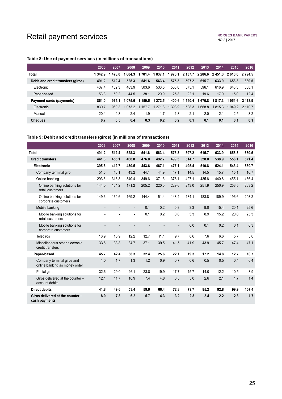# <span id="page-24-0"></span>Retail payment services

### **Table 8: Use of payment services (in millions of transactions)**

|                                    | 2006    | 2007   | 2008      | 2009      | 2010        | 2011      | 2012    | 2013    | 2014    | 2015                         | 2016      |
|------------------------------------|---------|--------|-----------|-----------|-------------|-----------|---------|---------|---------|------------------------------|-----------|
| <b>Total</b>                       | 1 342.9 | 1478.0 | 1 604.3   | 1 701.4   | 1 837.1     | 1976.1    | 2 137.7 |         |         | 2 2 8 6.6 2 4 5 1.3 2 6 10.0 | 2 7 9 4 5 |
| Debit and credit transfers (giros) | 491.2   | 512.4  | 528.3     | 541.6     | 563.4       | 575.3     | 597.2   | 615.7   | 633.9   | 658.3                        | 680.5     |
| Electronic                         | 437.4   | 462.3  | 483.9     | 503.6     | 533.5       | 550.0     | 575.1   | 596.1   | 616.9   | 643.3                        | 668.1     |
| Paper-based                        | 53.8    | 50.2   | 44.5      | 38.1      | 29.9        | 25.3      | 22.1    | 19.6    | 17.0    | 15.0                         | 12.4      |
| Payment cards (payments)           | 851.0   | 965.1  | 1075.6    | 1 1 5 9 5 | 1 2 7 3 . 5 | 1 400.6   | 1 540.4 | 1 670.8 | 1 817.3 | 1951.6                       | 2 113.9   |
| Electronic                         | 830.7   | 960.3  | 1 0 7 3 2 | 1 157 7   | 1 271.8     | 1 3 9 8 9 | 1 538.3 | 668.8   | 1815.3  | 1949.2 2 110.7               |           |
| Manual                             | 20.4    | 4.8    | 2.4       | 1.9       | 1.7         | 1.8       | 2.1     | 2.0     | 2.1     | 2.5                          | 3.2       |
| <b>Cheques</b>                     | 0.7     | 0.5    | 0.4       | 0.3       | 0.2         | 0.2       | 0.1     | 0.1     | 0.1     | 0.1                          | 0.1       |

#### **Table 9: Debit and credit transfers (giros) (in millions of transactions)**

|                                                             | 2006                     | 2007           | 2008                     | 2009  | 2010  | 2011  | 2012  | 2013  | 2014  | 2015  | 2016  |
|-------------------------------------------------------------|--------------------------|----------------|--------------------------|-------|-------|-------|-------|-------|-------|-------|-------|
| <b>Total</b>                                                | 491.2                    | 512.4          | 528.3                    | 541.6 | 563.4 | 575.3 | 597.2 | 615.7 | 633.9 | 658.3 | 680.5 |
| <b>Credit transfers</b>                                     | 441.3                    | 455.1          | 468.8                    | 476.0 | 492.7 | 499.3 | 514.7 | 528.0 | 538.9 | 556.1 | 571.4 |
| <b>Electronic</b>                                           | 395.6                    | 412.7          | 430.5                    | 443.6 | 467.1 | 477.1 | 495.4 | 510.8 | 524.1 | 543.4 | 560.7 |
| Company terminal giro                                       | 51.5                     | 46.1           | 43.2                     | 44.1  | 44.9  | 47.1  | 14.5  | 14.5  | 15.7  | 15.1  | 16.7  |
| Online banking                                              | 293.6                    | 318.8          | 340.4                    | 349.6 | 371.3 | 378.1 | 427.1 | 435.8 | 440.8 | 455.1 | 466.4 |
| Online banking solutions for<br>retail customers            | 144.0                    | 154.2          | 171.2                    | 205.2 | 220.0 | 229.6 | 243.0 | 251.9 | 250.9 | 258.5 | 263.2 |
| Online banking solutions for<br>corporate customers         | 149.6                    | 164.6          | 169.2                    | 144.4 | 151.4 | 148.4 | 184.1 | 183.8 | 189.9 | 196.6 | 203.2 |
| Mobile banking                                              | $\overline{\phantom{a}}$ | $\overline{a}$ | $\overline{\phantom{a}}$ | 0.1   | 0.2   | 0.8   | 3.3   | 9.0   | 15.4  | 20.1  | 25.6  |
| Mobile banking solutions for<br>retail customers            |                          |                | $\overline{\phantom{a}}$ | 0.1   | 0.2   | 0.8   | 3.3   | 8.9   | 15.2  | 20.0  | 25.3  |
| Mobile banking solutions for<br>corporate customers         |                          |                |                          |       |       |       | 0.0   | 0.1   | 0.2   | 0.1   | 0.3   |
| Telegiros                                                   | 16.9                     | 13.9           | 12.2                     | 12.7  | 11.1  | 9.7   | 8.6   | 7.6   | 6.6   | 5.7   | 5.0   |
| Miscellaneous other electronic<br>credit transfers          | 33.6                     | 33.8           | 34.7                     | 37.1  | 39.5  | 41.5  | 41.9  | 43.9  | 45.7  | 47.4  | 47.1  |
| Paper-based                                                 | 45.7                     | 42.4           | 38.3                     | 32.4  | 25.6  | 22.1  | 19.3  | 17.2  | 14.8  | 12.7  | 10.7  |
| Company terminal giros and<br>online banking as money order | 1.0                      | 1.7            | 1.3                      | 1.2   | 0.9   | 0.7   | 0.6   | 0.5   | 0.5   | 0.4   | 0.4   |
| Postal giros                                                | 32.6                     | 29.0           | 26.1                     | 23.8  | 19.9  | 17.7  | 15.7  | 14.0  | 12.2  | 10.5  | 8.9   |
| Giros delivered at the counter -<br>account debits          | 12.1                     | 11.7           | 10.9                     | 7.4   | 4.8   | 3.8   | 3.0   | 2.6   | 2.1   | 1.7   | 1.4   |
| <b>Direct debits</b>                                        | 41.8                     | 49.6           | 53.4                     | 59.9  | 66.4  | 72.8  | 79.7  | 85.2  | 92.8  | 99.9  | 107.4 |
| Giros delivered at the counter -<br>cash payments           | 8.0                      | 7.8            | 6.2                      | 5.7   | 4.3   | 3.2   | 2.8   | 2.4   | 2.2   | 2.3   | 1.7   |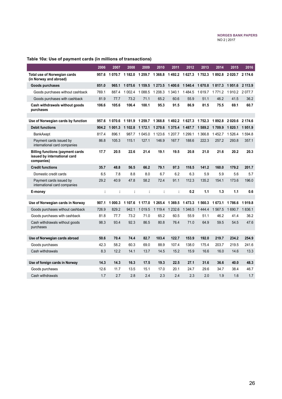| Table 10a: Use of payment cards (in millions of transactions) |  |
|---------------------------------------------------------------|--|
|---------------------------------------------------------------|--|

|                                                                                       | 2006  | 2007             | 2008             | 2009                                    | 2010        | 2011        | 2012       | 2013                 | 2014   | 2015             | 2016    |
|---------------------------------------------------------------------------------------|-------|------------------|------------------|-----------------------------------------|-------------|-------------|------------|----------------------|--------|------------------|---------|
| Total use of Norwegian cards<br>(in Norway and abroad)                                | 957.6 | 1 070.7          |                  | 1 182.0 1 259.7 1 368.8 1 492.2 1 627.3 |             |             |            | 1 7 5 2 . 3          | 1892.8 | 2 0 20.7 2 174.6 |         |
| Goods purchases                                                                       | 851.0 | 965.1            | 1 075.6          | 1 1 5 9.5                               | 1 2 7 3 .5  | 1400.6      | 1 540.4    | 1670.8               | 1817.3 | 1951.6           | 2 113.9 |
| Goods purchases without cashback                                                      | 769.1 | 887.4            | 1 0 0 2.4        | 1 088.5                                 | 1 208.3     | 1 340.1     | 1484.5     | 1619.7               | 1771.2 | 1910.2           | 2077.7  |
| Goods purchases with cashback                                                         | 81.9  | 77.7             | 73.2             | 71.1                                    | 65.2        | 60.6        | 55.9       | 51.1                 | 46.2   | 41.5             | 36.2    |
| Cash withdrawals without goods<br>purchases                                           | 106.6 | 105.6            | 106.4            | 100.1                                   | 95.3        | 91.5        | 86.9       | 81.5                 | 75.5   | 69.1             | 60.7    |
| Use of Norwegian cards by function                                                    | 957.6 | 1070.6           | 1 1 8 1 9        | 1 259.7                                 | 1 3 6 8 . 8 | 1492.2      | 1 627.3    | 1752.3               | 1892.8 | 2020.6           | 2 174.6 |
|                                                                                       |       |                  |                  |                                         |             |             | 1 487.7    |                      |        |                  |         |
| <b>Debit functions</b>                                                                | 904.2 | 1 001.3<br>896.1 | 1 102.8<br>987.7 | 1 172.1<br>1 045.0                      | 1 270.6     | 1 3 7 5 .4  | 1 2 9 9.1  | 1 589.2<br>1 3 6 6.8 | 1709.9 | 1820.1           | 1951.9  |
| <b>BankAxept</b>                                                                      | 817.4 |                  |                  |                                         | 1 1 2 3 . 6 | 1 207.7     |            |                      | 1452.7 | 1 5 2 6 . 4      | 1 594.8 |
| Payment cards issued by<br>international card companies                               | 86.8  | 105.3            | 115.1            | 127.1                                   | 146.9       | 167.7       | 188.6      | 222.3                | 257.2  | 293.8            | 357.1   |
| <b>Billing functions (payment cards</b><br>issued by international card<br>companies) | 17.7  | 20.5             | 22.6             | 21.4                                    | 19.1        | 19.5        | 20.8       | 21.0                 | 21.6   | 20.2             | 20.3    |
| <b>Credit functions</b>                                                               | 35.7  | 48.8             | 56.5             | 66.2                                    | 79.1        | 97.3        | 118.5      | 141.2                | 160.0  | 179.2            | 201.7   |
| Domestic credit cards                                                                 | 6.5   | 7.8              | 8.8              | 8.0                                     | 6.7         | 6.2         | 6.3        | 5.9                  | 5.9    | 5.6              | 5.7     |
| Payment cards issued by<br>international card companies                               | 29.2  | 40.9             | 47.8             | 58.2                                    | 72.4        | 91.1        | 112.3      | 135.2                | 154.1  | 173.6            | 196.0   |
| E-money                                                                               | t     | Ì                |                  | t                                       |             | t           | 0.2        | 1.1                  | 1.3    | 1.1              | 0.6     |
|                                                                                       |       |                  |                  |                                         |             |             |            |                      |        |                  |         |
| Use of Norwegian cards in Norway                                                      | 907.1 | 000.3<br>1       | 1 107.6          | 1 177.0                                 | 1 2 6 5 . 4 | 1 3 6 9 . 5 | 1473.3     | 1 560.3              | 1673.1 | 1786.6           | 1919.8  |
| Goods purchases without cashback                                                      | 726.9 | 829.2            | 942.1            | 1019.5                                  | 1 1 1 9 . 4 | 1 2 3 2 . 6 | 1 3 4 6 .5 | 1444.4               | 1567.5 | 1 690.7          | 1836.1  |
| Goods purchases with cashback                                                         | 81.8  | 77.7             | 73.2             | 71.0                                    | 65.2        | 60.5        | 55.9       | 51.1                 | 46.2   | 41.4             | 36.2    |
| Cash withdrawals without goods<br>purchases                                           | 98.3  | 93.4             | 92.3             | 86.5                                    | 80.8        | 76.4        | 71.0       | 64.9                 | 59.5   | 54.5             | 47.6    |
|                                                                                       |       |                  |                  |                                         |             |             |            |                      |        |                  |         |
| Use of Norwegian cards abroad                                                         | 50.6  | 70.4             | 74.4             | 82.7                                    | 103.4       | 122.7       | 153.9      | 192.0                | 219.7  | 234.2            | 254.9   |
| Goods purchases                                                                       | 42.3  | 58.2             | 60.3             | 69.0                                    | 88.9        | 107.4       | 138.0      | 175.4                | 203.7  | 219.5            | 241.6   |
| Cash withdrawals                                                                      | 8.3   | 12.2             | 14.1             | 13.7                                    | 14.5        | 15.2        | 15.9       | 16.6                 | 16.0   | 14.6             | 13.3    |
| Use of foreign cards in Norway                                                        | 14.3  | 14.3             | 16.3             | 17.5                                    | 19.3        | 22.5        | 27.1       | 31.6                 | 36.6   | 40.0             | 48.3    |
| Goods purchases                                                                       | 12.6  | 11.7             | 13.5             | 15.1                                    | 17.0        | 20.1        | 24.7       | 29.6                 | 34.7   | 38.4             | 46.7    |
| Cash withdrawals                                                                      | 1.7   | 2.7              | 2.8              | 2.4                                     | 2.3         | 2.4         | 2.3        | 2.0                  | 1.9    | 1.6              | 1.7     |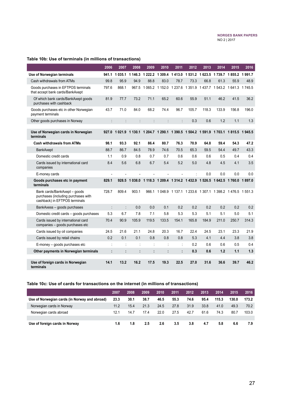### **Table 10b: Use of terminals (in millions of transactions)**

|                                                                                                      | 2006           | 2007                 | 2008                            | 2009    | 2010                            | 2011    | 2012  | 2013  | 2014                                                                    | 2015          | 2016  |
|------------------------------------------------------------------------------------------------------|----------------|----------------------|---------------------------------|---------|---------------------------------|---------|-------|-------|-------------------------------------------------------------------------|---------------|-------|
| Use of Norwegian terminals                                                                           |                | 941.1 1 035.1        | 1 146.3 1 222.2 1 309.4 1 413.0 |         |                                 |         |       |       | 1531.2 1623.5 1739.7 1855.2 1991.7                                      |               |       |
| Cash withdrawals from ATMs                                                                           | 99.8           | 95.9                 | 94.9                            | 88.8    | 83.0                            | 78.7    | 73.3  | 66.8  | 61.3                                                                    | 55.9          | 48.9  |
| Goods purchases in EFTPOS terminals<br>that accept bank cards/BankAxept                              | 797.6          | 868.1                | 967.5                           |         |                                 |         |       |       | 1 065.2 1 152.0 1 237.6 1 351.9 1 437.7 1 543.2 1 641.3 1 745.5         |               |       |
| Of which bank cards/BankAxept goods<br>purchases with cashback                                       | 81.9           | 77.7                 | 73.2                            | 71.1    | 65.2                            | 60.6    | 55.9  | 51.1  | 46.2                                                                    | 41.5          | 36.2  |
| Goods purchases etc in other Norwegian<br>payment terminals                                          | 43.7           | 71.0                 | 84.0                            | 68.2    | 74.4                            | 96.7    | 105.7 | 118.3 | 133.9                                                                   | 156.8         | 196.0 |
| Other goods purchases in Norway                                                                      | ÷.             | $\ddot{\phantom{a}}$ | $\ddot{\phantom{0}}$            | $\cdot$ | $\vdots$                        | $\cdot$ | 0.3   | 0.6   | 1.2                                                                     | 1.1           | 1.3   |
| Use of Norwegian cards in Norwegian<br>terminals                                                     | 927.0          | 1 0 2 1 .9           |                                 |         |                                 |         |       |       | 1 130.1 1 204.7 1 290.1 1 390.5 1 504.2 1 591.9 1 703.1 1 815.5 1 945.5 |               |       |
| <b>Cash withdrawals from ATMs</b>                                                                    | 98.1           | 93.3                 | 92.1                            | 86.4    | 80.7                            | 76.3    | 70.9  | 64.8  | 59.4                                                                    | 54.3          | 47.2  |
| BankAxept                                                                                            | 88.7           | 86.7                 | 84.5                            | 78.9    | 74.6                            | 70.5    | 65.3  | 59.5  | 54.4                                                                    | 49.7          | 43.3  |
| Domestic credit cards                                                                                | 1.1            | 0.9                  | 0.8                             | 0.7     | 0.7                             | 0.6     | 0.6   | 0.6   | 0.5                                                                     | 0.4           | 0.4   |
| Cards issued by international card<br>companies                                                      | 8.4            | 5.6                  | 6.8                             | 6.7     | 5.4                             | 5.2     | 5.0   | 4.8   | 4.5                                                                     | 4.1           | 3.5   |
| E-money cards                                                                                        |                |                      |                                 |         | Ĭ.                              |         |       | 0.0   | 0.0                                                                     | 0.0           | 0.0   |
| Goods purchases etc in payment<br>terminals                                                          | 829.1          | 928.5                | 1 0 3 8 .0                      |         | 1 118.3 1 209.4 1 314.2 1 432.9 |         |       |       | 1 526.5 1 642.5                                                         | 1760.0 1897.0 |       |
| Bank cards/BankAxept - goods<br>purchases (including purchases with<br>cashback) in EFTPOS terminals | 728.7          | 809.4                | 903.1                           | 966.1   |                                 |         |       |       | 1 048.9 1 137.1 1 233.6 1 307.1 1 398.2 1 476.5 1 551.3                 |               |       |
| BankAxess - goods purchases                                                                          | $\ddot{\cdot}$ | $\ddot{\cdot}$       | 0.0                             | 0.0     | 0.1                             | 0.2     | 0.2   | 0.2   | 0.2                                                                     | 0.2           | 0.2   |
| Domestic credit cards - goods purchases                                                              | 5.3            | 6.7                  | 7.8                             | 7.1     | 5.8                             | 5.3     | 5.3   | 5.1   | 5.1                                                                     | 5.0           | 5.1   |
| Cards issued by international card<br>companies - goods purchases etc                                | 70.4           | 90.9                 | 105.9                           | 119.5   | 133.5                           | 154.1   | 165.8 | 184.9 | 211.0                                                                   | 250.7         | 314.3 |
| Cards issued by oil companies                                                                        | 24.5           | 21.6                 | 21.1                            | 24.8    | 20.3                            | 16.7    | 22.4  | 24.5  | 23.1                                                                    | 23.3          | 21.9  |
| Cards issued by retail chains                                                                        | 0.2            | 0.1                  | 0.1                             | 0.8     | 0.8                             | 0.8     | 5.3   | 4.1   | 4.4                                                                     | 3.8           | 3.8   |
| E-money - goods purchases etc                                                                        |                | ċ                    |                                 |         |                                 |         | 0.2   | 0.6   | 0.6                                                                     | 0.5           | 0.4   |
| Other payments in Norwegian terminals                                                                | ŀ              | ÷                    | ÷                               |         | Ì                               |         | 0.3   | 0.6   | 1.2                                                                     | 1.1           | 1.3   |
| Use of foreign cards in Norwegian<br>terminals                                                       | 14.1           | 13.2                 | 16.2                            | 17.5    | 19.3                            | 22.5    | 27.0  | 31.6  | 36.6                                                                    | 39.7          | 46.2  |

### **Table 10c: Use of cards for transactions on the internet (in millions of transactions)**

|                                               | 2007 | 2008 | 2009 | 2010 | 2011 | 2012 | 2013 | 2014  | 2015  | 2016  |
|-----------------------------------------------|------|------|------|------|------|------|------|-------|-------|-------|
| Use of Norwegian cards (in Norway and abroad) | 23.3 | 30.1 | 38.7 | 46.5 | 55.3 | 74.6 | 95.4 | 115.3 | 130.0 | 173.2 |
| Norwegian cards in Norway                     | 11.2 | 15.4 | 21.3 | 24.5 | 27.8 | 31.9 | 33.8 | 41.0  | 49.3  | 70.2  |
| Norwegian cards abroad                        | 12.1 | 14.7 | 17.4 | 22.0 | 27.5 | 42.7 | 61.6 | 74.3  | 80.7  | 103.0 |
|                                               |      |      |      |      |      |      |      |       |       |       |
| Use of foreign cards in Norway                | 1.6  | 1.8  | 2.5  | 2.6  | 3.5  | 3.8  | 4.7  | 5.8   | 6.6   | 7.9   |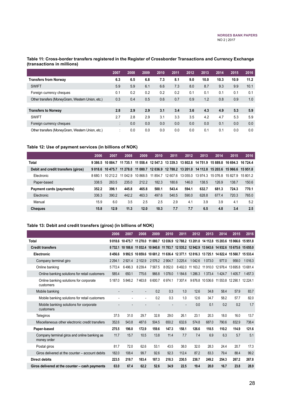#### **Table 11: Cross-border transfers registered in the Register of Crossborder Transactions and Currency Exchange (transactions in millions)**

|                                                  | 2007                      | 2008 | 2009 | 2010 | 2011 | 2012 | 2013 | 2014 | 2015 | 2016 |
|--------------------------------------------------|---------------------------|------|------|------|------|------|------|------|------|------|
| <b>Transfers from Norway</b>                     | 6.3                       | 6.5  | 6.8  | 7.3  | 8.1  | 9.0  | 10.0 | 10.3 | 10.9 | 11.2 |
| <b>SWIFT</b>                                     | 5.9                       | 5.9  | 6.1  | 6.6  | 7.3  | 8.0  | 8.7  | 9.3  | 9.9  | 10.1 |
| Foreign currency cheques                         | 0.1                       | 0.2  | 0.2  | 0.2  | 0.2  | 0.1  | 0.1  | 0.1  | 0.1  | 0.1  |
| Other transfers (MoneyGram, Western Union, etc.) | 0.3                       | 0.4  | 0.5  | 0.6  | 0.7  | 0.9  | 1.2  | 0.8  | 0.9  | 1.0  |
|                                                  |                           |      |      |      |      |      |      |      |      |      |
| <b>Transfers to Norway</b>                       | 2.8                       | 2.9  | 2.9  | 3.1  | 3.4  | 3.6  | 4.3  | 4.9  | 5.3  | 5.9  |
| <b>SWIFT</b>                                     | 2.7                       | 2.8  | 2.9  | 3.1  | 3.3  | 3.5  | 4.2  | 4.7  | 5.3  | 5.9  |
| Foreign currency cheques                         | ٠<br>$\ddot{\phantom{a}}$ | 0.0  | 0.0  | 0.0  | 0.0  | 0.0  | 0.0  | 0.1  | 0.0  | 0.0  |
| Other transfers (MoneyGram, Western Union, etc.) | ٠                         | 0.0  | 0.0  | 0.0  | 0.0  | 0.0  | 0.1  | 0.1  | 0.0  | 0.0  |

#### **Table 12: Use of payment services (in billions of NOK)**

|                                    | 2006    | 2007     | 2008     | 2009     | 2010     | 2011     | 2012                                                                                      | 2013              | 2014                | 2015  | 2016     |
|------------------------------------|---------|----------|----------|----------|----------|----------|-------------------------------------------------------------------------------------------|-------------------|---------------------|-------|----------|
| <b>Total</b>                       | 9 386.5 | 10 884.7 | 11 735.1 |          |          |          | 11 558.4 12 547.3 13 339.3 13 802.8 14 751.9 15 889.8 16 694.3                            |                   |                     |       | 16 724.4 |
| Debit and credit transfers (giros) | 9018.6  |          |          |          |          |          | 10 475.7 11 278.0 11 080.7 12 036.9 12 788.2 13 201.0 14 112.8 15 203.6 15 966.6 15 951.8 |                   |                     |       |          |
| Electronic                         | 86801   | 10 212 2 | 11 042 9 | 10 868.5 | 11 854 7 | 12 607.6 |                                                                                           | 13 055 0 13 974 3 | 15 0 76 8 15 8 27 9 |       | 15 801 2 |
| Paper-based                        | 338.5   | 263.5    | 235.0    | 212.2    | 182.3    | 180.6    | 146.0                                                                                     | 138.5             | 126.9               | 138.7 | 150.6    |
| Payment cards (payments)           | 352.2   | 396.1    | 445.8    | 465.8    | 500.1    | 543.4    | 594.1                                                                                     | 632.7             | 681.3               | 724.3 | 770.1    |
| Electronic                         | 336.3   | 390.2    | 442.2    | 463.3    | 497.6    | 540.5    | 590.0                                                                                     | 628.8             | 677.4               | 720.3 | 765.0    |
| Manual                             | 15.9    | 6.0      | 3.5      | 2.5      | 2.5      | 2.9      | 4.1                                                                                       | 3.9               | 3.9                 | 4.1   | 5.2      |
| <b>Cheques</b>                     | 15.8    | 12.9     | 11.3     | 12.0     | 10.3     | 7.7      | 7.7                                                                                       | 6.5               | 4.8                 | 3.4   | 2.5      |

#### **Table 13: Debit and credit transfers (giros) (in billions of NOK)**

|                                                             | 2006                     | 2007     | 2008                      | 2009    | 2010      | 2011                                                                    | 2012      | 2013                                | 2014     | 2015                       | 2016       |
|-------------------------------------------------------------|--------------------------|----------|---------------------------|---------|-----------|-------------------------------------------------------------------------|-----------|-------------------------------------|----------|----------------------------|------------|
| <b>Total</b>                                                |                          |          | 9 018 6 10 475 7 11 278 0 |         |           | 11 080.7 12 036.9 12 788.2 13 201.0 14 112.8 15 203.6 15 966.6 15 951.8 |           |                                     |          |                            |            |
| <b>Credit transfers</b>                                     | 8732.1                   | 10 188.6 | 11 032.4 10 840.8         |         |           | 11 783.7 12 535.2 12 942.9 13 843.6                                     |           |                                     | 14 932.6 | 15 675 6 15 655 0          |            |
| <b>Electronic</b>                                           | 8456.6                   | 9992.5   |                           |         |           | 10 859.6 10 681.2 11 636.4 12 377.1 12 816.3 13 725.1                   |           |                                     |          | 14 822.4 15 560.7 15 533.4 |            |
| Company terminal giro                                       | 2 2 9 4.1                | 2921.4   | 2 102.9                   | 2576.2  | 2 9 04.7  | 3 2 2 5.4                                                               | 1 042.6   | 1073.0                              | 977.0    | 958.0                      | 1016.3     |
| Online banking                                              | 5772.4                   | 6496.3   | 8 2 3 9.4                 | 7567.5  | 8 0 5 2.0 | 8492.0                                                                  |           | 11 163.2 11 910.0 12 978.4 13 695.8 |          |                            | 13 681.4   |
| Online banking solutions for retail customers               | 585.4                    | 650.1    | 775.6                     | 966.8   | 1078.0    | 1 1 8 4 . 6                                                             | 1 2 8 6.3 | 1373.4                              | 1424.7   | 1405.7                     | 1457.3     |
| Online banking solutions for corporate<br>customers         | 5 187.0                  | 5846.2   | 7463.8                    | 6 600.7 | 6974.1    | 7 30 7.4                                                                |           | 9876.8 10536.6                      | 11 553.8 | 12 290.1                   | 12 2 2 4.1 |
| Mobile banking                                              | $\overline{a}$           |          |                           | 0.2     | 0.3       | 1.0                                                                     | 12.6      | 34.8                                | 58.4     | 57.9                       | 83.7       |
| Mobile banking solutions for retail customers               | $\overline{\phantom{a}}$ |          | $\overline{\phantom{a}}$  | 0.2     | 0.3       | 1.0                                                                     | 12.6      | 34.7                                | 58.2     | 57.7                       | 82.0       |
| Mobile banking solutions for corporate<br>customers         |                          |          |                           |         |           |                                                                         | 0.0       | 0.1                                 | 0.2      | 0.2                        | 1.7        |
| Telegiros                                                   | 37.5                     | 31.0     | 29.7                      | 32.8    | 29.0      | 26.1                                                                    | 23.1      | 20.3                                | 18.0     | 16.0                       | 13.7       |
| Miscellaneous other electronic credit transfers             | 352.6                    | 543.8    | 487.6                     | 504.5   | 650.2     | 632.6                                                                   | 574.8     | 687.0                               | 790.6    | 832.9                      | 738.4      |
| Paper-based                                                 | 275.5                    | 196.0    | 172.9                     | 159.6   | 147.3     | 158.1                                                                   | 126.6     | 118.5                               | 110.2    | 114.9                      | 121.6      |
| Company terminal giros and online banking as<br>money order | 11.7                     | 15.7     | 10.5                      | 13.8    | 11.4      | 7.7                                                                     | 7.4       | 6.9                                 | 6.3      | 5.7                        | 5.1        |
| Postal giros                                                | 81.7                     | 72.0     | 62.6                      | 53.1    | 43.5      | 38.0                                                                    | 32.0      | 28.3                                | 24.4     | 20.7                       | 17.3       |
| Giros delivered at the counter - account debits             | 182.0                    | 108.4    | 99.7                      | 92.6    | 92.3      | 112.4                                                                   | 87.2      | 83.3                                | 79.4     | 88.4                       | 99.2       |
| <b>Direct debits</b>                                        | 223.5                    | 219.7    | 183.4                     | 187.3   | 218.3     | 230.5                                                                   | 238.7     | 249.2                               | 254.3    | 267.2                      | 267.8      |
| Giros delivered at the counter - cash payments              | 63.0                     | 67.4     | 62.2                      | 52.6    | 34.9      | 22.5                                                                    | 19.4      | 20.0                                | 16.7     | 23.8                       | 28.9       |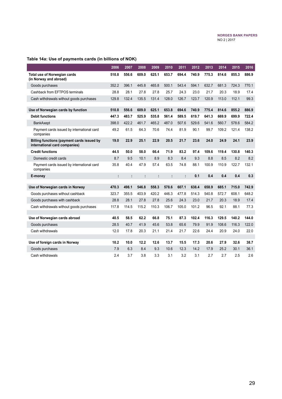### **Table 14a: Use of payments cards (in billions of NOK)**

|                                                                             | 2006  | 2007  | 2008  | 2009  | 2010  | 2011  | 2012  | 2013  | 2014  | 2015  | 2016  |
|-----------------------------------------------------------------------------|-------|-------|-------|-------|-------|-------|-------|-------|-------|-------|-------|
| <b>Total use of Norwegian cards</b><br>(in Norway and abroad)               | 510.8 | 556.6 | 609.0 | 625.1 | 653.7 | 694.4 | 740.9 | 775.3 | 814.6 | 855.3 | 886.9 |
| Goods purchases                                                             | 352.2 | 396.1 | 445.8 | 465.8 | 500.1 | 543.4 | 594.1 | 632.7 | 681.3 | 724.3 | 770.1 |
| Cashback from EFTPOS terminals                                              | 28.8  | 28.1  | 27.8  | 27.8  | 25.7  | 24.3  | 23.0  | 21.7  | 20.3  | 18.9  | 17.4  |
| Cash withdrawals without goods purchases                                    | 129.8 | 132.4 | 135.5 | 131.4 | 128.0 | 126.7 | 123.7 | 120.9 | 113.0 | 112.1 | 99.3  |
| Use of Norwegian cards by function                                          | 510.8 | 556.6 | 609.0 | 625.1 | 653.8 | 694.6 | 740.9 | 775.4 | 814.6 | 855.2 | 886.9 |
| <b>Debit functions</b>                                                      | 447.3 | 483.7 | 525.9 | 535.8 | 561.4 | 589.5 | 619.7 | 641.3 | 669.9 | 699.9 | 722.4 |
| <b>BankAxept</b>                                                            | 398.0 | 422.2 | 461.7 | 465.2 | 487.0 | 507.6 | 529.6 | 541.6 | 560.7 | 578.6 | 584.2 |
| Payment cards issued by international card<br>companies                     | 49.2  | 61.5  | 64.3  | 70.6  | 74.4  | 81.9  | 90.1  | 99.7  | 109.2 | 121.4 | 138.2 |
| Billing functions (payment cards issued by<br>international card companies) | 19.0  | 22.9  | 25.1  | 22.9  | 20.5  | 21.7  | 23.6  | 24.0  | 24.9  | 24.1  | 23.9  |
| <b>Credit functions</b>                                                     | 44.5  | 50.0  | 58.0  | 66.4  | 71.9  | 83.2  | 97.4  | 109.6 | 119.4 | 130.8 | 140.3 |
| Domestic credit cards                                                       | 8.7   | 9.5   | 10.1  | 8.9   | 8.3   | 8.4   | 9.3   | 8.8   | 8.5   | 8.2   | 8.2   |
| Payment cards issued by international card<br>companies                     | 35.8  | 40.4  | 47.9  | 57.4  | 63.5  | 74.8  | 88.1  | 100.9 | 110.9 | 122.7 | 132.1 |
| E-money                                                                     | ÷     | ÷     | ÷     | t     | ÷     | t     | 0.1   | 0.4   | 0.4   | 0.4   | 0.3   |
| Use of Norwegian cards in Norway                                            | 470.3 | 498.1 | 546.8 | 558.3 | 578.6 | 607.1 | 638.4 | 658.9 | 685.1 | 715.0 | 742.9 |
| Goods purchases without cashback                                            | 323.7 | 355.5 | 403.9 | 420.2 | 446.3 | 477.8 | 514.3 | 540.8 | 572.7 | 608.1 | 648.2 |
| Goods purchases with cashback                                               | 28.8  | 28.1  | 27.8  | 27.8  | 25.6  | 24.3  | 23.0  | 21.7  | 20.3  | 18.9  | 17.4  |
| Cash withdrawals without goods purchases                                    | 117.8 | 114.5 | 115.2 | 110.3 | 106.7 | 105.0 | 101.2 | 96.5  | 92.1  | 88.1  | 77.3  |
|                                                                             |       |       |       |       |       |       |       |       |       |       |       |
| Use of Norwegian cards abroad                                               | 40.5  | 58.5  | 62.2  | 66.8  | 75.1  | 87.3  | 102.4 | 116.3 | 129.5 | 140.2 | 144.0 |
| Goods purchases                                                             | 28.5  | 40.7  | 41.9  | 45.6  | 53.8  | 65.6  | 79.9  | 91.9  | 108.6 | 116.3 | 122.0 |
| Cash withdrawals                                                            | 12.0  | 178   | 20.3  | 21.1  | 21.4  | 21.7  | 22.6  | 24.4  | 20.9  | 24.0  | 22.0  |
|                                                                             |       |       |       |       |       |       |       |       |       |       |       |
| Use of foreign cards in Norway                                              | 10.2  | 10.0  | 12.2  | 12.6  | 13.7  | 15.5  | 17.3  | 20.6  | 27.9  | 32.6  | 38.7  |
| Goods purchases                                                             | 7.9   | 6.3   | 8.4   | 9.3   | 10.6  | 12.3  | 14.2  | 17.9  | 25.2  | 30.1  | 36.1  |
| Cash withdrawals                                                            | 2.4   | 3.7   | 3.8   | 3.3   | 3.1   | 3.2   | 3.1   | 2.7   | 2.7   | 2.5   | 2.6   |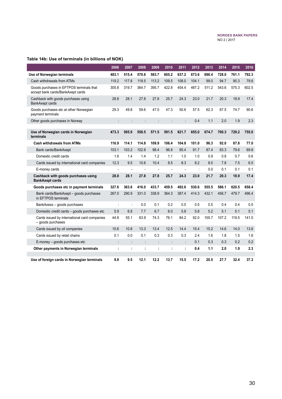### **Table 14b: Use of terminals (in billions of NOK)**

|                                                                               | 2006  | 2007           | 2008           | 2009                 | 2010                 | 2011                 | 2012  | 2013  | 2014  | 2015  | 2016  |
|-------------------------------------------------------------------------------|-------|----------------|----------------|----------------------|----------------------|----------------------|-------|-------|-------|-------|-------|
| Use of Norwegian terminals                                                    | 483.1 | 515.4          | 570.6          | 583.7                | 605.2                | 637.2                | 673.6 | 696.4 | 728.0 | 761.1 | 792.3 |
| Cash withdrawals from ATMs                                                    | 119.2 | 117.8          | 118.5          | 113.2                | 109.5                | 108.0                | 104.1 | 99.0  | 94.7  | 90.3  | 79.6  |
| Goods purchases in EFTPOS terminals that<br>accept bank cards/BankAxept cards | 305.8 | 319.7          | 364.7          | 395.7                | 422.8                | 454.4                | 487.2 | 511.2 | 543.6 | 575.3 | 602.5 |
| Cashback with goods purchases using<br>BankAxept cards                        | 28.8  | 28.1           | 27.8           | 27.8                 | 25.7                 | 24.3                 | 23.0  | 21.7  | 20.3  | 18.9  | 17.4  |
| Goods purchases etc at other Norwegian<br>payment terminals                   | 29.3  | 49.8           | 59.6           | 47.0                 | 47.3                 | 50.6                 | 57.5  | 62.3  | 67.5  | 74.7  | 90.6  |
| Other goods purchases in Norway                                               |       |                |                |                      | $\ddot{\phantom{a}}$ |                      | 0.4   | 1.1   | 2.0   | 1.9   | 2.3   |
|                                                                               |       |                |                |                      |                      |                      |       |       |       |       |       |
| Use of Norwegian cards in Norwegian<br>terminals                              | 473.3 | 505.9          | 558.5          | 571.5                | 591.5                | 621.7                | 655.0 | 674.7 | 700.3 | 729.2 | 755.0 |
| <b>Cash withdrawals from ATMs</b>                                             | 116.9 | 114.1          | 114.8          | 109.9                | 106.4                | 104.8                | 101.0 | 96.3  | 92.0  | 87.8  | 77.0  |
| Bank cards/BankAxept                                                          | 103.1 | 103.2          | 102.8          | 98.4                 | 96.8                 | 95.4                 | 91.7  | 87.4  | 83.3  | 79.6  | 69.8  |
| Domestic credit cards                                                         | 1.6   | 1.4            | 1.4            | 1.2                  | 1.1                  | 1.0                  | 1.0   | 0.9   | 0.8   | 0.7   | 0.6   |
| Cards issued by international card companies                                  | 12.3  | 9.5            | 10.6           | 10.4                 | 8.5                  | 8.3                  | 8.2   | 8.0   | 7.8   | 7.5   | 6.5   |
| E-money cards                                                                 |       |                | ÷,             | $\overline{a}$       | ÷,                   |                      |       | 0.0   | 0.1   | 0.1   | 0.1   |
| Cashback with goods purchases using<br><b>BankAxept cards</b>                 | 28.8  | 28.1           | 27.8           | 27.8                 | 25.7                 | 24.3                 | 23.0  | 21.7  | 20.3  | 18.9  | 17.4  |
| Goods purchases etc in payment terminals                                      | 327.6 | 363.6          | 416.0          | 433.7                | 459.5                | 492.6                | 530.6 | 555.5 | 586.1 | 620.5 | 658.4 |
| Bank cards/BankAxept - goods purchases<br>in EFTPOS terminals                 | 267.0 | 290.9          | 331.0          | 338.9                | 364.3                | 387.4                | 414.3 | 432.1 | 456.7 | 479.7 | 496.4 |
| BankAxess - goods purchases                                                   | t     | t              | 0.0            | 0.1                  | 0.2                  | 0.5                  | 0.5   | 0.5   | 0.4   | 0.4   | 0.5   |
| Domestic credit cards - goods purchases etc                                   | 5.9   | 6.8            | 7.7            | 6.7                  | 6.0                  | 5.8                  | 5.8   | 5.2   | 5.1   | 5.1   | 5.1   |
| Cards issued by international card companies<br>- goods purchases             | 44.8  | 55.1           | 63.9           | 74.3                 | 76.1                 | 84.2                 | 92.0  | 100.7 | 107.2 | 119.5 | 141.0 |
| Cards issued by oil companies                                                 | 10.6  | 10.8           | 13.3           | 13.4                 | 12.5                 | 14.4                 | 15.4  | 15.2  | 14.6  | 14.0  | 13.6  |
| Cards issued by retail chains                                                 | 0.1   | 0.0            | 0.1            | 0.3                  | 0.3                  | 0.3                  | 2.4   | 1.6   | 1.8   | 1.5   | 1.6   |
| E-money - goods purchases etc                                                 | ÷     | $\ddot{\cdot}$ | $\ddot{\cdot}$ | $\ddot{\phantom{a}}$ | $\ddot{\cdot}$       | $\ddot{\phantom{a}}$ | 0.1   | 0.3   | 0.3   | 0.2   | 0.2   |
| Other payments in Norwegian terminals                                         | ÷     | ÷              | ÷              | ÷                    | t                    | ċ                    | 0.4   | 1.1   | 2.0   | 1.9   | 2.3   |
| Use of foreign cards in Norwegian terminals                                   | 9.8   | 9.5            | 12.1           | 12.2                 | 13.7                 | 15.5                 | 17.2  | 20.5  | 27.7  | 32.4  | 37.3  |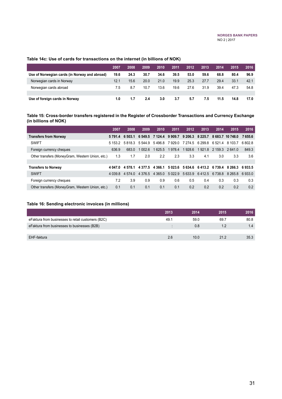### **Table 14c: Use of cards for transactions on the internet (in billions of NOK)**

|                                               | 2007 | 2008 | 2009 | 2010 | 2011 | 2012 | 2013 | 2014 | 2015 | 2016 |
|-----------------------------------------------|------|------|------|------|------|------|------|------|------|------|
| Use of Norwegian cards (in Norway and abroad) | 19.6 | 24.3 | 30.7 | 34.6 | 39.5 | 53.0 | 59.6 | 68.8 | 80.4 | 96.9 |
| Norwegian cards in Norway                     | 12.1 | 15.6 | 20.0 | 21.0 | 19.9 | 25.3 | 27.7 | 29.4 | 33.1 | 42.1 |
| Norwegian cards abroad                        | 7.5  | 8.7  | 10.7 | 13.6 | 19.6 | 27.6 | 31.9 | 39.4 | 47.3 | 54.8 |
|                                               |      |      |      |      |      |      |      |      |      |      |
| Use of foreign cards in Norway                | 1.0  | 1.7  | 2.4  | 3.0  | 3.7  | 5.7  | 7.5  | 11.5 | 14.8 | 17.0 |

#### **Table 15: Cross-border transfers registered in the Register of Crossborder Transactions and Currency Exchange (in billions of NOK)**

|                                                  | 2007       | 2008      | 2009                | 2010                                    | 2011                                      | 2012                            | 2013 | 2014              | 2015                       | 2016    |
|--------------------------------------------------|------------|-----------|---------------------|-----------------------------------------|-------------------------------------------|---------------------------------|------|-------------------|----------------------------|---------|
| <b>Transfers from Norway</b>                     | 5 7 9 1 .4 | 6 503.1   |                     | 6 549.5 7 124.4 9 909.7 9 206.3 8 225.7 |                                           |                                 |      |                   | 8 683.7 10 748.0           | 7 655.6 |
| <b>SWIFT</b>                                     | 5 153 2    |           | 5 8 1 8 3 5 5 4 4 9 |                                         | 5496.8 7929.0 7274.5 6299.8 6521.4 8103.7 |                                 |      |                   |                            | 6.802.8 |
| Foreign currency cheques                         | 636.9      | 683.0     | 1 002 6             |                                         | 1625.5 1978.4                             | 1928.6                          |      | 19218 21593 26410 |                            | 849.3   |
| Other transfers (MoneyGram, Western Union, etc.) | 1.3        | 1.7       | 2.0                 | 2.2                                     | 2.3                                       | 3.3                             | 4.1  | 3.0               | 3.3                        | 3.6     |
|                                                  |            |           |                     |                                         |                                           |                                 |      |                   |                            |         |
| <b>Transfers to Norway</b>                       | 4 047 0    | 4578.1    | 4 3 7 7 5           | 4 3 6 6 1                               |                                           | 5 023.6 5 634.6 6 413.2 6 739.4 |      |                   | 8 266.3 6 933.5            |         |
| <b>SWIFT</b>                                     | 4 0 3 9 8  | 4 5 7 4 0 |                     | 4 376 5 4 365 0                         | 5 0 2 2 .9                                |                                 |      |                   | 56339 6412.5 6738.8 8265.8 | 6.933.0 |
| Foreign currency cheques                         | 7.2        | 3.9       | 0.9                 | 0.9                                     | 0.6                                       | 0.5                             | 0.4  | 0.3               | 0.3                        | 0.3     |
| Other transfers (MoneyGram, Western Union, etc.) | 0.1        | 0.1       | 0.1                 | 0.1                                     | 0.1                                       | 0.2                             | 0.2  | 0.2               | 0.2                        | 0.2     |

#### **Table 16: Sending electronic invoices (in millions)**

|                                                    | 2013 | 2014 | 2015 | 2016 |
|----------------------------------------------------|------|------|------|------|
| eFaktura from businesses to retail customers (B2C) | 49.1 | 59.0 | 69.7 | 80.8 |
| eFaktura from businesses to businesses (B2B)       |      | 0.8  | 1.2  | 1.4  |
|                                                    |      |      |      |      |
| EHF-faktura                                        | 2.6  | 10.0 | 21.2 | 35.3 |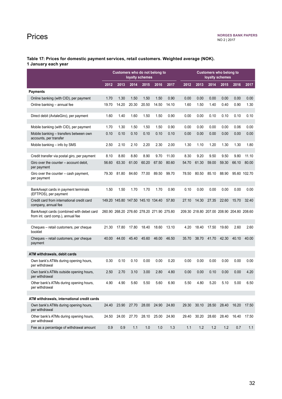## <span id="page-31-0"></span>Prices

**Table 17: Prices for domestic payment services, retail customers. Weighted average (NOK). 1 January each year**

|                                                                                | Customers who do not belong to<br>loyalty schemes |                                           |                               |       |         |       | <b>Customers who belong to</b><br>loyalty schemes |       |                                           |       |       |              |
|--------------------------------------------------------------------------------|---------------------------------------------------|-------------------------------------------|-------------------------------|-------|---------|-------|---------------------------------------------------|-------|-------------------------------------------|-------|-------|--------------|
|                                                                                | 2012                                              | 2013                                      | 2014                          | 2015  | 2016    | 2017  | 2012                                              | 2013  | 2014                                      | 2015  | 2016  | 2017         |
| <b>Payments</b>                                                                |                                                   |                                           |                               |       |         |       |                                                   |       |                                           |       |       |              |
| Online banking (with CID), per payment                                         | 1.70                                              | 1.30                                      | 1.50                          | 1.50  | 1.50    | 0.90  | 0.00                                              | 0.00  | 0.00                                      | 0.00  | 0.00  | 0.00         |
| Online banking - annual fee                                                    | 19.70                                             | 14.20                                     | 20.30                         | 20.50 | 14.50   | 14.10 | 1.60                                              | 1.50  | 1.40                                      | 0.40  | 0.90  | 1.30         |
| Direct debit (AvtaleGiro), per payment                                         | 1.60                                              | 1.40                                      | 1.60                          | 1.50  | 1.50    | 0.90  | 0.00                                              | 0.00  | 0.10                                      | 0.10  | 0.10  | 0.10         |
| Mobile banking (with CID), per payment                                         | 1.70                                              | 1.30                                      | 1.50                          | 1.50  | 1.50    | 0.90  | 0.00                                              | 0.00  | 0.00                                      | 0.00  | 0.06  | 0.00         |
| Mobile banking - transfers between own<br>accounts, per transfer               | 0.10                                              | 0.10                                      | 0.10                          | 0.10  | 0.10    | 0.10  | 0.00                                              | 0.00  | 0.00                                      | 0.00  | 0.00  | 0.00         |
| Mobile banking - info by SMS                                                   | 2.50                                              | 2.10                                      | 2.10                          | 2.20  | 2.30    | 2.00  | 1.30                                              | 1.10  | 1.20                                      | 1.30  | 1.30  | 1.80         |
| Credit transfer via postal giro, per payment                                   | 8.10                                              | 8.80                                      | 8.80                          | 8.90  | 9.70    | 11.00 | 8.30                                              | 9.20  | 9.50                                      | 9.50  | 9.80  | 11.10        |
| Giro over the counter - account debit,<br>per payment                          | 56.60                                             | 63.30                                     | 61.00                         | 60.20 | 67.50   | 80.60 | 54.70                                             | 61.30 | 59.00                                     | 59.30 | 66.10 | 80.00        |
| Giro over the counter - cash payment,<br>per payment                           | 79.30                                             | 81.80                                     | 84.60                         | 77.00 | 89.50   | 99.70 | 78.50                                             | 80.50 | 85.10                                     | 88.90 |       | 95.60 102.70 |
|                                                                                |                                                   |                                           |                               |       |         |       |                                                   |       |                                           |       |       |              |
| BankAxept cards in payment terminals<br>(EFTPOS), per payment                  | 1.50                                              | 1.50                                      | 1.70                          | 1.70  | 1.70    | 0.90  | 0.10                                              | 0.00  | 0.00                                      | 0.00  | 0.00  | 0.00         |
| Credit card from international credit card<br>company, annual fee              |                                                   | 149.20 145.80 147.50 145.10 134.40        |                               |       |         | 57.80 | 27.10                                             | 14.30 | 27.35                                     | 22.60 | 15.70 | 32.40        |
| BankAxept cards (combined with debet card<br>from int. card comp.), annual fee |                                                   | 260.90 268.20 276.60 278.20 271.90 275.80 |                               |       |         |       |                                                   |       | 209.30 218.80 207.00 208.90 204.80 208.60 |       |       |              |
|                                                                                |                                                   |                                           |                               |       |         |       |                                                   |       |                                           |       |       |              |
| Cheques - retail customers, per cheque<br>booklet                              | 21.30                                             | 17.80                                     | 17.80                         | 18.40 | 18.60   | 13.10 | 4.20                                              | 18.40 | 17.50                                     | 19.60 | 2.60  | 2.60         |
| Cheques - retail customers, per cheque<br>payment                              | 40.00                                             | 44.00                                     | 45.40                         | 45.60 | 46.00   | 46.50 | 35.70                                             | 38.70 | 41.70                                     | 42.30 | 40.10 | 40.00        |
| ATM withdrawals, debit cards                                                   |                                                   |                                           |                               |       |         |       |                                                   |       |                                           |       |       |              |
| Own bank's ATMs during opening hours,<br>per withdrawal                        | 0.30                                              | 0.10                                      | 0.10                          | 0.00  | 0.00    | 0.20  | 0.00                                              | 0.00  | 0.00                                      | 0.00  | 0.00  | 0.00         |
| Own bank's ATMs outside opening hours,<br>per withdrawal                       | 2.50                                              | 2.70                                      | 3.10                          | 3.00  | 2.80    | 4.80  | 0.00                                              | 0.00  | 0.10                                      | 0.00  | 0.00  | 4.20         |
| Other bank's ATMs during opening hours,<br>per withdrawal                      | 4.90                                              | 4.90                                      | 5.60                          | 5.50  | 5.60    | 6.90  | 5.50                                              | 4.80  | 5.20                                      | 5.10  | 5.00  | 6.50         |
|                                                                                |                                                   |                                           |                               |       |         |       |                                                   |       |                                           |       |       |              |
| ATM withdrawals, international credit cards                                    |                                                   |                                           |                               |       |         |       |                                                   |       |                                           |       |       |              |
| Own bank's ATMs during opening hours,<br>per withdrawal                        | 24.40                                             |                                           | 23.90 27.70 28.00             |       | 24.90   | 24.80 | 29.30                                             | 30.10 | 28.50                                     | 28.40 | 16.20 | 17.50        |
| Other bank's ATMs during opening hours,<br>per withdrawal                      | 24.50                                             |                                           | 24.00 27.70 28.10 25.00 24.90 |       |         |       | 29.40                                             | 30.20 | 28.60                                     | 28.40 | 16.40 | 17.50        |
| Fee as a percentage of withdrawal amount                                       | 0.9                                               | 0.9                                       | 1.1                           | 1.0   | $1.0\,$ | 1.3   | 1.1                                               | 1.2   | 1.2                                       | 1.2   | 0.7   | 1.1          |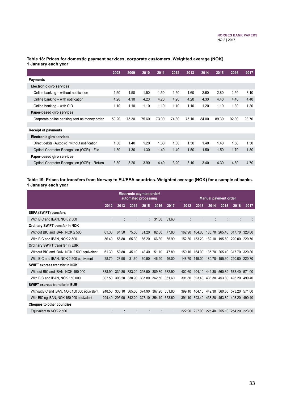|                                               | 2008  | 2009  | 2010  | 2011  | 2012  | 2013  | 2014  | 2015  | 2016  | 2017  |
|-----------------------------------------------|-------|-------|-------|-------|-------|-------|-------|-------|-------|-------|
| <b>Payments</b>                               |       |       |       |       |       |       |       |       |       |       |
| <b>Electronic giro services</b>               |       |       |       |       |       |       |       |       |       |       |
| Online banking - without notification         | 1.50  | 1.50  | 1.50  | 1.50  | 1.50  | 1.60  | 2.60  | 2.80  | 2.50  | 3.10  |
| Online banking – with notification            | 4.20  | 4.10  | 4.20  | 4.20  | 4.20  | 4.20  | 4.30  | 4.40  | 4.40  | 4.40  |
| Online banking - with CID                     | 1.10  | 1.10  | 1.10  | 1.10  | 1.10  | 1.10  | 1.20  | 1.10  | 1.30  | 1.30  |
| Paper-based giro services                     |       |       |       |       |       |       |       |       |       |       |
| Corporate online banking sent as money order  | 50.20 | 75.30 | 75.60 | 73.00 | 74.80 | 75.10 | 84.00 | 89.30 | 92.00 | 98.70 |
|                                               |       |       |       |       |       |       |       |       |       |       |
| <b>Receipt of payments</b>                    |       |       |       |       |       |       |       |       |       |       |
| <b>Electronic giro services</b>               |       |       |       |       |       |       |       |       |       |       |
| Direct debits (Autogiro) without notification | 1.30  | 1.40  | 1.20  | 1.30  | 1.30  | 1.30  | 1.40  | 1.40  | 1.50  | 1.50  |
| Optical Character Recognition (OCR) - File    | 1.30  | 1.30  | 1.30  | 1.40  | 1.40  | 1.50  | 1.50  | 1.50  | 1.70  | 1.80  |
| Paper-based giro services                     |       |       |       |       |       |       |       |       |       |       |
| Optical Character Recognition (OCR) – Return  | 3.30  | 3.20  | 3.90  | 4.40  | 3.20  | 3.10  | 3.40  | 4.30  | 4.60  | 4.70  |

#### **Table 18: Prices for domestic payment services, corporate customers. Weighted average (NOK). 1 January each year**

#### **Table 19: Prices for transfers from Norway to EU/EEA countries. Weighted average (NOK) for a sample of banks. 1 January each year**

|                                              | Electronic payment order/<br>automated processing |        |        |        |                      |        | <b>Manual payment order</b> |        |                                    |        |                             |        |
|----------------------------------------------|---------------------------------------------------|--------|--------|--------|----------------------|--------|-----------------------------|--------|------------------------------------|--------|-----------------------------|--------|
|                                              | 2012                                              | 2013   | 2014   | 2015   | 2016                 | 2017   | 2012                        | 2013   | 2014                               | 2015   | 2016                        | 2017   |
| <b>SEPA (SWIFT) transfers</b>                |                                                   |        |        |        |                      |        |                             |        |                                    |        |                             |        |
| With BIC and IBAN, NOK 2 500                 |                                                   |        | ÷      | ÷.     | 31.80                | 31.60  |                             |        |                                    |        | ÷                           |        |
| Ordinary SWIFT transfer in NOK               |                                                   |        |        |        |                      |        |                             |        |                                    |        |                             |        |
| Without BIC and IBAN, NOK 2 500              | 61.30                                             | 61.50  | 75.50  | 81.20  | 82.80                | 77.80  | 162.90                      | 164.00 | 185.70                             |        | 265.40 317.70 320.80        |        |
| With BIC and IBAN, NOK 2 500                 | 56.40                                             | 56.80  | 65.30  | 66.20  | 66.80                | 65.90  | 152.30                      | 153.20 |                                    |        | 182.10 195.60 220.00 220.70 |        |
| <b>Ordinary SWIFT transfer in EUR</b>        |                                                   |        |        |        |                      |        |                             |        |                                    |        |                             |        |
| Without BIC and IBAN, NOK 2 500 equivalent   | 61.30                                             | 59.80  | 45.10  | 48.40  | 51.10                | 47.80  | 159.10                      | 164.00 | 185.70                             |        | 265.40 317.70               | 320.80 |
| With BIC and IBAN, NOK 2 500 equivalent      | 28.70                                             | 28.90  | 31.60  | 30.90  | 46.40                | 46.00  | 148.70                      | 149.00 |                                    |        | 180.70 195.60 220.00 220.70 |        |
| SWIFT express transfer in NOK                |                                                   |        |        |        |                      |        |                             |        |                                    |        |                             |        |
| Without BIC and IBAN, NOK 150 000            | 338.90                                            | 339.80 | 383.20 | 393.90 | 389.80               | 382.90 | 402.60                      |        | 404.10 442.30 560.80 573.40 571.00 |        |                             |        |
| With BIC and IBAN, NOK 150 000               | 307.50                                            | 308.20 | 330.90 |        | 337.80 362.50        | 361.60 | 391.80                      |        | 393.40 438.30 453.80 493.20        |        |                             | 49040  |
| SWIFT express transfer in EUR                |                                                   |        |        |        |                      |        |                             |        |                                    |        |                             |        |
| Without BIC and IBAN, NOK 150 000 equivalent | 248.50                                            | 333.10 | 365.00 | 374.90 | 367 20               | 36180  | 399 10                      | 404.10 | 442.30                             | 560.80 | 573.20                      | 571 00 |
| With BIC og IBAN, NOK 150 000 equivalent     | 294.40                                            | 295.90 |        |        | 342.20 327.10 354.10 | 353.60 | 391.10                      |        | 393.40 438.20 453.80 493.20 490.40 |        |                             |        |
| <b>Cheques to other countries</b>            |                                                   |        |        |        |                      |        |                             |        |                                    |        |                             |        |
| Equivalent to NOK 2 500                      |                                                   |        |        |        |                      |        | 222.90                      | 227.00 | 225.40                             | 255.10 | 254.20                      | 223.00 |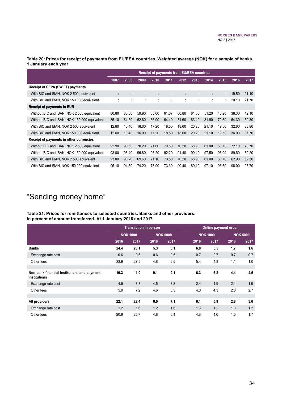<span id="page-33-0"></span>**Table 20: Prices for receipt of payments from EU/EEA countries. Weighted average (NOK) for a sample of banks. 1 January each year**

|                                              | <b>Receipt of payments from EU/EEA countries</b> |       |       |       |       |       |       |       |       |       |       |
|----------------------------------------------|--------------------------------------------------|-------|-------|-------|-------|-------|-------|-------|-------|-------|-------|
|                                              | 2007                                             | 2008  | 2009  | 2010  | 2011  | 2012  | 2013  | 2014  | 2015  | 2016  | 2017  |
| <b>Receipt of SEPA (SWIFT) payments</b>      |                                                  |       |       |       |       |       |       |       |       |       |       |
| With BIC and IBAN, NOK 2 500 equivalent      |                                                  |       |       |       |       |       |       |       | ٠     | 19.50 | 21.10 |
| With BIC and IBAN, NOK 150 000 equivalent    |                                                  | ٠     |       |       |       |       | ٠     |       | ÷.    | 20.10 | 21.70 |
| Receipt of payments in EUR                   |                                                  |       |       |       |       |       |       |       |       |       |       |
| Without BIC and IBAN, NOK 2 500 equivalent   | 80.80                                            | 80.80 | 59.90 | 63.00 | 61.07 | 60.80 | 61.50 | 51.20 | 48.20 | 38.30 | 42.10 |
| Without BIC and IBAN, NOK 150 000 equivalent | 85.10                                            | 84.60 | 62.80 | 66.00 | 64.40 | 81.60 | 83.40 | 81.90 | 79.60 | 54.30 | 59.30 |
| With BIC and IBAN, NOK 2 500 equivalent      | 12.60                                            | 10.40 | 16.00 | 17.20 | 18.50 | 18.60 | 20.20 | 21.10 | 19.50 | 32.60 | 33.80 |
| With BIC and IBAN, NOK 150 000 equivalent    | 12.60                                            | 10.40 | 16.00 | 17.20 | 18.50 | 18.60 | 20.20 | 21.10 | 19.50 | 36.00 | 37.70 |
| Receipt of payments in other currencies      |                                                  |       |       |       |       |       |       |       |       |       |       |
| Without BIC and IBAN, NOK 2 500 equivalent   | 92.90                                            | 90.60 | 70.20 | 71.60 | 70.50 | 70.20 | 68.90 | 61.00 | 60.70 | 72.10 | 70.70 |
| Without BIC and IBAN, NOK 150 000 equivalent | 98.00                                            | 96.40 | 96.80 | 93.20 | 92.20 | 91.40 | 90.40 | 97.50 | 96.90 | 89.60 | 89.20 |
| With BIC and IBAN, NOK 2 500 equivalent      | 93.00                                            | 90.20 | 69.60 | 71.10 | 70.50 | 70.20 | 68.90 | 61.00 | 60.70 | 62.90 | 62.30 |
| With BIC and IBAN, NOK 150 000 equivalent    | 95.10                                            | 94.50 | 74.20 | 73.90 | 73.30 | 90.40 | 89.10 | 97.10 | 96.60 | 96.00 | 95.70 |

# "Sending money home"

#### **Table 21: Prices for remittances to selected countries. Banks and other providers. In percent of amount transferred. At 1 January 2016 and 2017**

|                                                             |                 | <b>Transaction in person</b> |                 |      | Online payment order |      |      |                 |  |
|-------------------------------------------------------------|-----------------|------------------------------|-----------------|------|----------------------|------|------|-----------------|--|
|                                                             | <b>NOK 1000</b> |                              | <b>NOK 5000</b> |      | <b>NOK 1000</b>      |      |      | <b>NOK 5000</b> |  |
|                                                             | 2016            | 2017                         | 2016            | 2017 | 2016                 | 2017 | 2016 | 2017            |  |
| <b>Banks</b>                                                | 24.4            | 28.1                         | 5.3             | 6.1  | 6.0                  | 5.5  | 1.7  | 1.6             |  |
| Exchange rate cost                                          | 0.6             | 0.6                          | 0.6             | 0.6  | 0.7                  | 0.7  | 0.7  | 0.7             |  |
| Other fees                                                  | 23.9            | 27.5                         | 4.8             | 5.5  | 5.4                  | 4.8  | 1.1  | 1.0             |  |
|                                                             |                 |                              |                 |      |                      |      |      |                 |  |
| Non-bank financial institutions and payment<br>institutions | 10.3            | 11.0                         | 9.1             | 9.1  | 6.3                  | 6.2  | 4.4  | 4.6             |  |
| Exchange rate cost                                          | 4.5             | 3.8                          | 4.5             | 3.8  | 2.4                  | 1.9  | 2.4  | 1.9             |  |
| Other fees                                                  | 5.9             | 7.2                          | 4.6             | 5.3  | 4.0                  | 4.3  | 2.0  | 2.7             |  |
|                                                             |                 |                              |                 |      |                      |      |      |                 |  |
| All providers                                               | 22.1            | 22.4                         | 6.0             | 7.1  | 6.1                  | 5.9  | 2.8  | 3.0             |  |
| Exchange rate cost                                          | 1.2             | 1.6                          | 1.2             | 1.6  | 1.3                  | 1.2  | 1.3  | 1.2             |  |
| Other fees                                                  | 20.9            | 20.7                         | 4.8             | 5.4  | 4.8                  | 4.6  | 1.5  | 1.7             |  |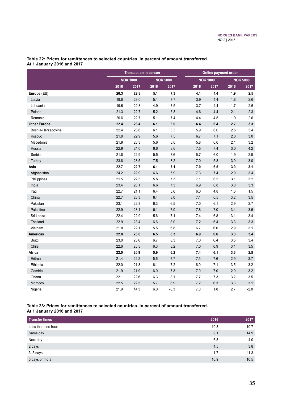|                     |      | <b>Transaction in person</b> |      |                 | <b>Online payment order</b> |                 |                 |        |  |
|---------------------|------|------------------------------|------|-----------------|-----------------------------|-----------------|-----------------|--------|--|
|                     |      | <b>NOK 1000</b>              |      | <b>NOK 5000</b> |                             | <b>NOK 1000</b> | <b>NOK 5000</b> |        |  |
|                     | 2016 | 2017                         | 2016 | 2017            | 2016                        | 2017            | 2016            | 2017   |  |
| Europe (EU)         | 20.3 | 22.8                         | 5.1  | 7.3             | 4.1                         | 4.4             | 1.9             | 2.5    |  |
| Latvia              | 19.8 | 23.0                         | 5.1  | 7.7             | 3.9                         | 4.4             | 1.8             | 2.6    |  |
| Lithuania           | 19.6 | 22.8                         | 4.9  | 7.5             | 3.7                         | 4.4             | 1.7             | 2.6    |  |
| Poland              | 21.3 | 22.7                         | 5.2  | 6.8             | 4.6                         | 4.4             | 2.1             | 2.3    |  |
| Romania             | 20.6 | 22.7                         | 5.1  | 74              | 4.4                         | 4.5             | 1.9             | 2.6    |  |
| <b>Other Europe</b> | 22.4 | 23.4                         | 6.1  | 8.0             | 6.4                         | 6.4             | 2.7             | 3.3    |  |
| Bosnia-Herzegovina  | 22.4 | 23.6                         | 6.1  | 8.3             | 5.9                         | 6.0             | 2.6             | 3.4    |  |
| Kosovo              | 21.9 | 22.9                         | 5.6  | 7.5             | 6.7                         | 7.1             | 2.3             | 3.0    |  |
| Macedonia           | 21.9 | 23.3                         | 5.6  | 8.0             | 5.8                         | 6.6             | 2.1             | 3.2    |  |
| Russia              | 22.9 | 24.0                         | 6.6  | 8.6             | 7.5                         | 7.4             | 3.0             | 4.2    |  |
| Serbia              | 21.8 | 22.9                         | 5.5  | 7.6             | 5.7                         | 6.0             | 1.9             | 2.9    |  |
| Turkey              | 23.8 | 23.5                         | 7.5  | 8.2             | 7.0                         | 5.8             | 3.9             | 3.0    |  |
| Asia                | 22.7 | 22.7                         | 6.1  | 7.1             | 7.0                         | 6.5             | 3.0             | 3.1    |  |
| Afghanistan         | 24.2 | 22.9                         | 6.6  | 6.9             | 7.3                         | 7.4             | 2.9             | 3.4    |  |
| Philippines         | 21.5 | 22.3                         | 5.5  | 7.3             | 7.1                         | 6.5             | 3.1             | 3.2    |  |
| India               | 23.4 | 23.1                         | 6.6  | 7.3             | 6.9                         | 6.8             | 3.0             | 3.3    |  |
| Iraq                | 22.7 | 21.1                         | 6.4  | 5.6             | 6.0                         | 4.8             | 1.6             | 1.5    |  |
| China               | 22.7 | 23.3                         | 6.4  | 8.0             | 7.1                         | 6.5             | 3.2             | 3.5    |  |
| Pakistan            | 23.1 | 22.3                         | 6.3  | 6.5             | 7.0                         | 6.1             | 2.9             | 2.7    |  |
| Palestine           | 22.9 | 23.1                         | 6.1  | 7.0             | 7.8                         | 7.0             | 3.4             | 3.6    |  |
| Sri Lanka           | 22.4 | 22.9                         | 5.6  | 7.1             | 7.4                         | 6.8             | 3.1             | 3.4    |  |
| Thailand            | 22.9 | 23.4                         | 6.6  | 8.0             | 7.2                         | 6.4             | 3.3             | 3.3    |  |
| Vietnam             | 21.8 | 22.1                         | 5.5  | 6.8             | 6.7                         | 6.6             | 2.9             | 3.1    |  |
| <b>Americas</b>     | 22.8 | 23.6                         | 6.5  | 8.3             | 6.9                         | 6.6             | 3.3             | 3.4    |  |
| Brazil              | 23.0 | 23.6                         | 6.7  | 8.3             | 7.0                         | 6.4             | 3.5             | 3.4    |  |
| Chile               | 22.6 | 23.5                         | 6.3  | 8.2             | 7.0                         | 6.9             | 3.1             | 3.5    |  |
| Africa              | 22.0 | 20.9                         | 5.9  | 6.2             | 7.4                         | 6.1             | 3.3             | 2.5    |  |
| Eritrea             | 21.4 | 22.2                         | 5.5  | 7.7             | 7.3                         | 7.6             | 2.9             | 3.7    |  |
| Ethiopia            | 22.0 | 21.8                         | 6.1  | 7.2             | 8.0                         | 7.1             | 3.5             | 3.2    |  |
| Gambia              | 21.9 | 21.9                         | 6.0  | 7.3             | 7.0                         | 7.0             | 2.9             | 3.2    |  |
| Ghana               | 22.1 | 22.6                         | 6.3  | 8.1             | 7.7                         | 7.3             | 3.2             | 3.5    |  |
| Morocco             | 22.5 | 22.5                         | 5.7  | 6.9             | 7.2                         | 6.3             | 3.3             | 3.1    |  |
| Nigeria             | 21.9 | 14.3                         | 6.0  | $-0.3$          | 7.0                         | 1.8             | 2.7             | $-2.0$ |  |

#### **Table 22: Prices for remittances to selected countries. In percent of amount transferred. At 1 January 2016 and 2017**

#### **Table 23: Prices for remittances to selected countries. In percent of amount transferred. At 1 January 2016 and 2017**

| <b>Transfer times</b> | 2016 | 2017 |
|-----------------------|------|------|
| Less than one hour    | 10.3 | 10.7 |
| Same day              | 9.1  | 14.9 |
| Next day              | 6.8  | 4.0  |
| 2 days                | 4.5  | 3.8  |
| 3-5 days              | 11.7 | 11.3 |
| 6 days or more        | 10.9 | 10.5 |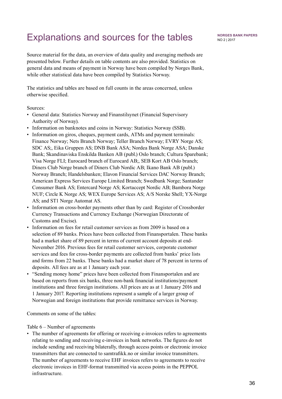# <span id="page-35-0"></span>Explanations and sources for the tables

Source material for the data, an overview of data quality and averaging methods are presented below. Further details on table contents are also provided. Statistics on general data and means of payment in Norway have been compiled by Norges Bank, while other statistical data have been compiled by Statistics Norway.

The statistics and tables are based on full counts in the areas concerned, unless otherwise specified.

Sources:

- General data: Statistics Norway and Finanstilsynet (Financial Supervisory Authority of Norway).
- Information on banknotes and coins in Norway: Statistics Norway (SSB).
- Information on giros, cheques, payment cards, ATMs and payment terminals: Finance Norway; Nets Branch Norway; Teller Branch Norway; EVRY Norge AS; SDC AS;, Eika Gruppen AS; DNB Bank ASA; Nordea Bank Norge ASA; Danske Bank; Skandinaviska Enskilda Banken AB (publ.) Oslo branch; Cultura Sparebank; Visa Norge FLI; Eurocard branch of Eurocard AB;, SEB Kort AB Oslo branch; Diners Club Norge branch of Diners Club Nordic AB; Ikano Bank AB (publ.) Norway Branch; Handelsbanken; Elavon Financial Services DAC Norway Branch; American Express Services Europe Limited Branch; Swedbank Norge; Santander Consumer Bank AS; Entercard Norge AS; Kortaccept Nordic AB; Bambora Norge NUF; Circle K Norge AS; WEX Europe Services AS; A/S Norske Shell; YX-Norge AS; and ST1 Norge Automat AS.
- Information on cross-border payments other than by card: Register of Crossborder Currency Transactions and Currency Exchange (Norwegian Directorate of Customs and Excise).
- Information on fees for retail customer services as from 2009 is based on a selection of 89 banks. Prices have been collected from Finansportalen. These banks had a market share of 89 percent in terms of current account deposits at end-November 2016. Previous fees for retail customer services, corporate customer services and fees for cross-border payments are collected from banks' price lists and forms from 22 banks. These banks had a market share of 78 percent in terms of deposits. All fees are as at 1 January each year.
- "Sending money home" prices have been collected from Finansportalen and are based on reports from six banks, three non-bank financial institutions/payment institutions and three foreign institutions. All prices are as at 1 January 2016 and 1 January 2017. Reporting institutions represent a sample of a larger group of Norwegian and foreign institutions that provide remittance services in Norway.

Comments on some of the tables:

Table 6 – Number of agreements

• The number of agreements for offering or receiving e-invoices refers to agreements relating to sending and receiving e-invoices in bank networks. The figures do not include sending and receiving bilaterally, through access points or electronic invoice transmitters that are connected to samtrafikk.no or similar invoice transmitters. The number of agreements to receive EHF invoices refers to agreements to receive electronic invoices in EHF-format transmitted via access points in the PEPPOL infrastructure.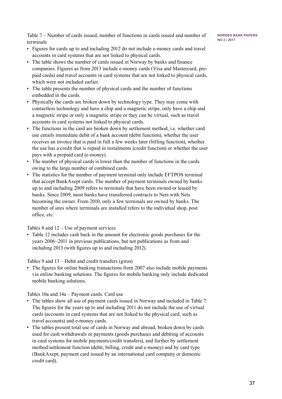**Norges Bank Papers** No 2 | 2017

Table 7 – Number of cards issued, number of functions in cards issued and number of terminals

- Figures for cards up to and including 2012 do not include e-money cards and travel accounts in card systems that are not linked to physical cards.
- The table shows the number of cards issued in Norway by banks and finance companies. Figures as from 2013 include e-money cards (Visa and Mastercard, prepaid cards) and travel accounts in card systems that are not linked to physical cards, which were not included earlier.
- The table presents the number of physical cards and the number of functions embedded in the cards.
- Physically the cards are broken down by technology type. They may come with contactless technology and have a chip and a magnetic stripe, only have a chip and a magnetic stripe or only a magnetic stripe or they can be virtual, such as travel accounts in card systems not linked to physical cards.
- The functions in the card are broken down by settlement method, i.e. whether card use entails immediate debit of a bank account (debit function), whether the user receives an invoice that is paid in full a few weeks later (billing function), whether the use has a credit that is repaid in instalments (credit function) or whether the user pays with a prepaid card (e-money).
- The number of physical cards is lower than the number of functions in the cards owing to the large number of combined cards.
- The statistics for the number of payment terminal only include EFTPOS terminal that accept BankAxept cards. The number of payment terminals owned by banks up to and including 2009 refers to terminals that have been owned or leased by banks. Since 2009, most banks have transferred contracts to Nets with Nets becoming the owner. From 2010, only a few terminals are owned by banks. The number of sites where terminals are installed refers to the individual shop, post office, etc.

Tables 8 and 12 – Use of payment services

• Table 12 includes cash back in the amount for electronic goods purchases for the years 2006–2011 in previous publications, but not publications as from and including 2013 (with figures up to and including 2012).

Tables 9 and 13 – Debit and credit transfers (giros)

• The figures for online banking transactions from 2007 also include mobile payments via online banking solutions. The figures for mobile banking only include dedicated mobile banking solutions.

Tables 10a and 14a – Payment cards. Card use

- The tables show all use of payment cards issued in Norway and included in Table 7. The figures for the years up to and including 2011 do not include the use of virtual cards (accounts in card systems that are not linked to the physical card, such as travel accounts) and e-money cards.
- The tables present total use of cards in Norway and abroad, broken down by cards used for cash withdrawals or payments (goods purchases and debiting of accounts in card systems for mobile payments/credit transfers), and further by settlement method/settlement function (debit, billing, credit and e-money) and by card type (BankAxept, payment card issued by an international card company or domestic credit card).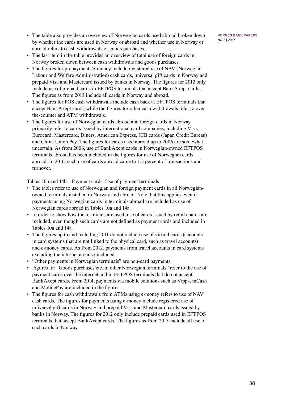- The table also provides an overview of Norwegian cards used abroad broken down by whether the cards are used in Norway or abroad and whether use in Norway or abroad refers to cash withdrawals or goods purchases.
- The last item in the table provides an overview of total use of foreign cards in Norway broken down between cash withdrawals and goods purchases.
- The figures for prepayments/e-money include registered use of NAV (Norwegian Labour and Welfare Administration) cash cards, universal gift cards in Norway and prepaid Visa and Mastercard issued by banks in Norway. The figures for 2012 only include use of prepaid cards in EFTPOS terminals that accept BankAxept cards. The figures as from 2013 include all cards in Norway and abroad.
- The figures for POS cash withdrawals include cash back at EFTPOS terminals that accept BankAxept cards, while the figures for other cash withdrawals refer to overthe-counter and ATM withdrawals.
- The figures for use of Norwegian cards abroad and foreign cards in Norway primarily refer to cards issued by international card companies, including Visa, Eurocard, Mastercard, Diners, American Express, JCB cards (Japan Credit Bureau) and China Union Pay. The figures for cards used abroad up to 2006 are somewhat uncertain. As from 2006, use of BankAxept cards in Norwegian-owned EFTPOS terminals abroad has been included in the figures for use of Norwegian cards abroad. In 2016, such use of cards abroad came to 1,2 percent of transactions and turnover.

Tables 10b and 14b – Payment cards. Use of payment terminals

- The tables refer to use of Norwegian and foreign payment cards in all Norwegianowned terminals installed in Norway and abroad. Note that this applies even if payments using Norwegian cards in terminals abroad are included as use of Norwegian cards abroad in Tables 10a and 14a.
- In order to show how the terminals are used, use of cards issued by retail chains are included, even though such cards are not defined as payment cards and included in Tables 10a and 14a.
- The figures up to and including 2011 do not include use of virtual cards (accounts in card systems that are not linked to the physical card, such as travel accounts) and e-money cards. As from 2012, payments from travel accounts in card systems excluding the internet are also included.
- "Other payments in Norwegian terminals" are non-card payments.
- Figures for "Goods purchases etc. in other Norwegian terminals" refer to the use of payment cards over the internet and in EFTPOS terminals that do not accept BankAxept cards. From 2014, payments via mobile solutions such as Vipps, mCash and MobilePay are included in the figures.
- The figures for cash withdrawals from ATMs using e-money refers to use of NAV cash cards. The figures for payments using e-money include registered use of universal gift cards in Norway and prepaid Visa and Mastercard cards issued by banks in Norway. The figures for 2012 only include prepaid cards used in EFTPOS terminals that accept BankAxept cards. The figures as from 2013 include all use of such cards in Norway.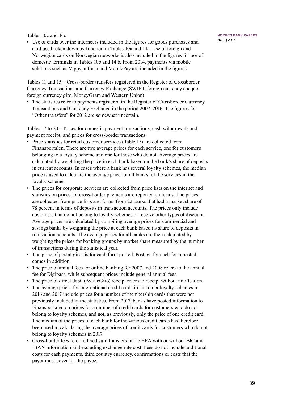Tables 10c and 14c

• Use of cards over the internet is included in the figures for goods purchases and card use broken down by function in Tables 10a and 14a. Use of foreign and Norwegian cards on Norwegian networks is also included in the figures for use of domestic terminals in Tables 10b and 14 b. From 2014, payments via mobile solutions such as Vipps, mCash and MobilePay are included in the figures.

Tables 11 and 15 – Cross-border transfers registered in the Register of Crossborder Currency Transactions and Currency Exchange (SWIFT, foreign currency cheque, foreign currency giro, MoneyGram and Western Union)

• The statistics refer to payments registered in the Register of Crossborder Currency Transactions and Currency Exchange in the period 2007–2016. The figures for "Other transfers" for 2012 are somewhat uncertain.

Tables 17 to 20 – Prices for domestic payment transactions, cash withdrawals and payment receipt, and prices for cross-border transactions

- Price statistics for retail customer services (Table 17) are collected from Finansportalen. There are two average prices for each service, one for customers belonging to a loyalty scheme and one for those who do not. Average prices are calculated by weighting the price in each bank based on the bank's share of deposits in current accounts. In cases where a bank has several loyalty schemes, the median price is used to calculate the average price for all banks' of the services in the loyalty scheme.
- The prices for corporate services are collected from price lists on the internet and statistics on prices for cross-border payments are reported on forms. The prices are collected from price lists and forms from 22 banks that had a market share of 78 percent in terms of deposits in transaction accounts. The prices only include customers that do not belong to loyalty schemes or receive other types of discount. Average prices are calculated by compiling average prices for commercial and savings banks by weighting the price at each bank based its share of deposits in transaction accounts. The average prices for all banks are then calculated by weighting the prices for banking groups by market share measured by the number of transactions during the statistical year.
- The price of postal giros is for each form posted. Postage for each form posted comes in addition.
- The price of annual fees for online banking for 2007 and 2008 refers to the annual fee for Digipass, while subsequent prices include general annual fees.
- The price of direct debit (AvtaleGiro) receipt refers to receipt without notification.
- The average prices for international credit cards in customer loyalty schemes in 2016 and 2017 include prices for a number of membership cards that were not previously included in the statistics. From 2017, banks have posted information to Finansportalen on prices for a number of credit cards for customers who do not belong to loyalty schemes, and not, as previously, only the price of one credit card. The median of the prices of each bank for the various credit cards has therefore been used in calculating the average prices of credit cards for customers who do not belong to loyalty schemes in 2017.
- Cross-border fees refer to fixed sum transfers in the EEA with or without BIC and IBAN information and excluding exchange rate cost. Fees do not include additional costs for cash payments, third country currency, confirmations or costs that the payer must cover for the payee.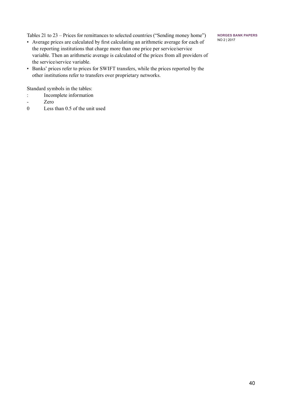Tables 21 to 23 – Prices for remittances to selected countries ("Sending money home")

- Average prices are calculated by first calculating an arithmetic average for each of the reporting institutions that charge more than one price per service/service variable. Then an arithmetic average is calculated of the prices from all providers of the service/service variable.
- Banks' prices refer to prices for SWIFT transfers, while the prices reported by the other institutions refer to transfers over proprietary networks.

Standard symbols in the tables:

- : Incomplete information
- Zero
- 0 Less than 0.5 of the unit used